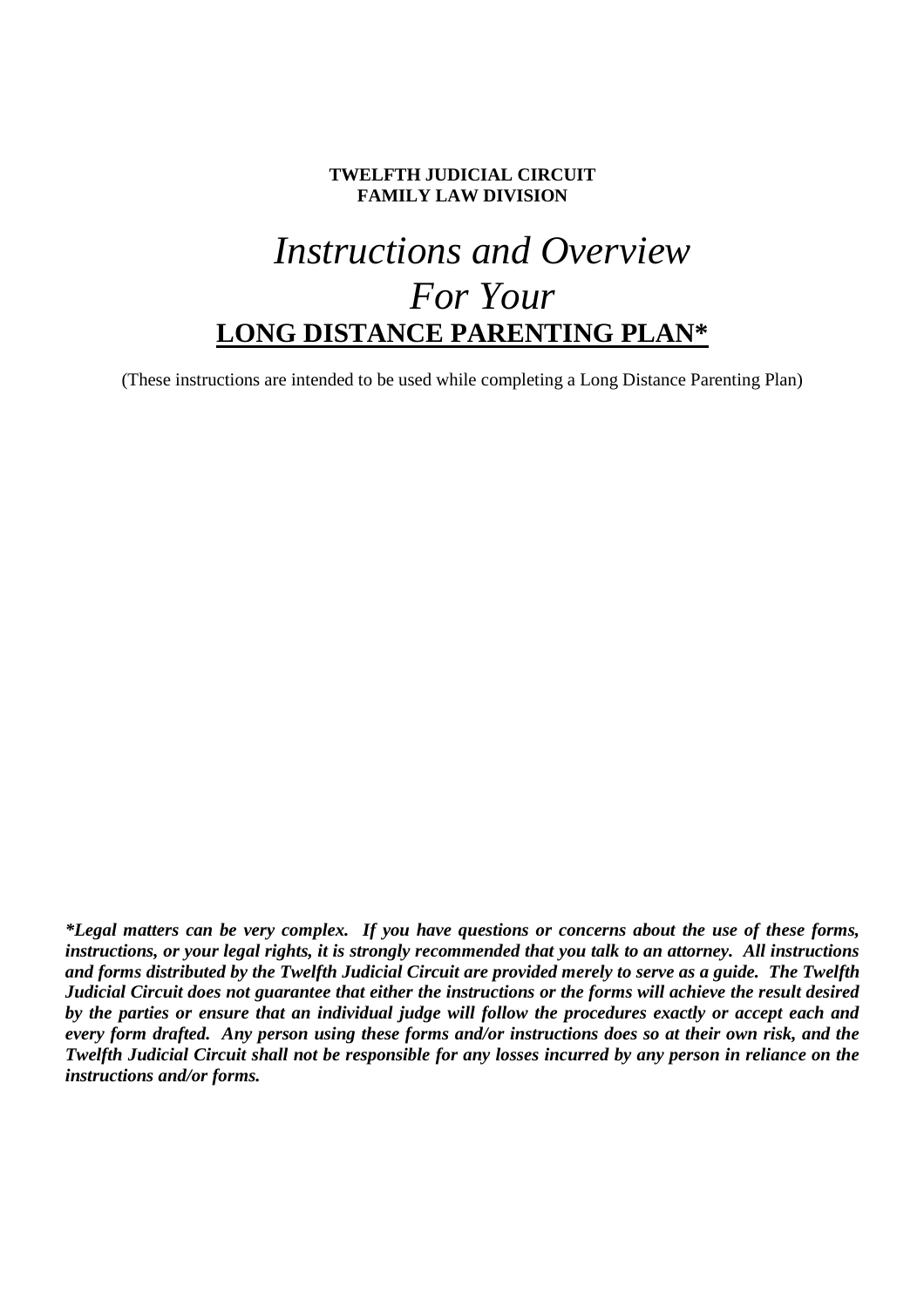### **TWELFTH JUDICIAL CIRCUIT FAMILY LAW DIVISION**

# *Instructions and Overview For Your* **LONG DISTANCE PARENTING PLAN\***

(These instructions are intended to be used while completing a Long Distance Parenting Plan)

*\*Legal matters can be very complex. If you have questions or concerns about the use of these forms, instructions, or your legal rights, it is strongly recommended that you talk to an attorney. All instructions and forms distributed by the Twelfth Judicial Circuit are provided merely to serve as a guide. The Twelfth Judicial Circuit does not guarantee that either the instructions or the forms will achieve the result desired by the parties or ensure that an individual judge will follow the procedures exactly or accept each and every form drafted. Any person using these forms and/or instructions does so at their own risk, and the Twelfth Judicial Circuit shall not be responsible for any losses incurred by any person in reliance on the instructions and/or forms.*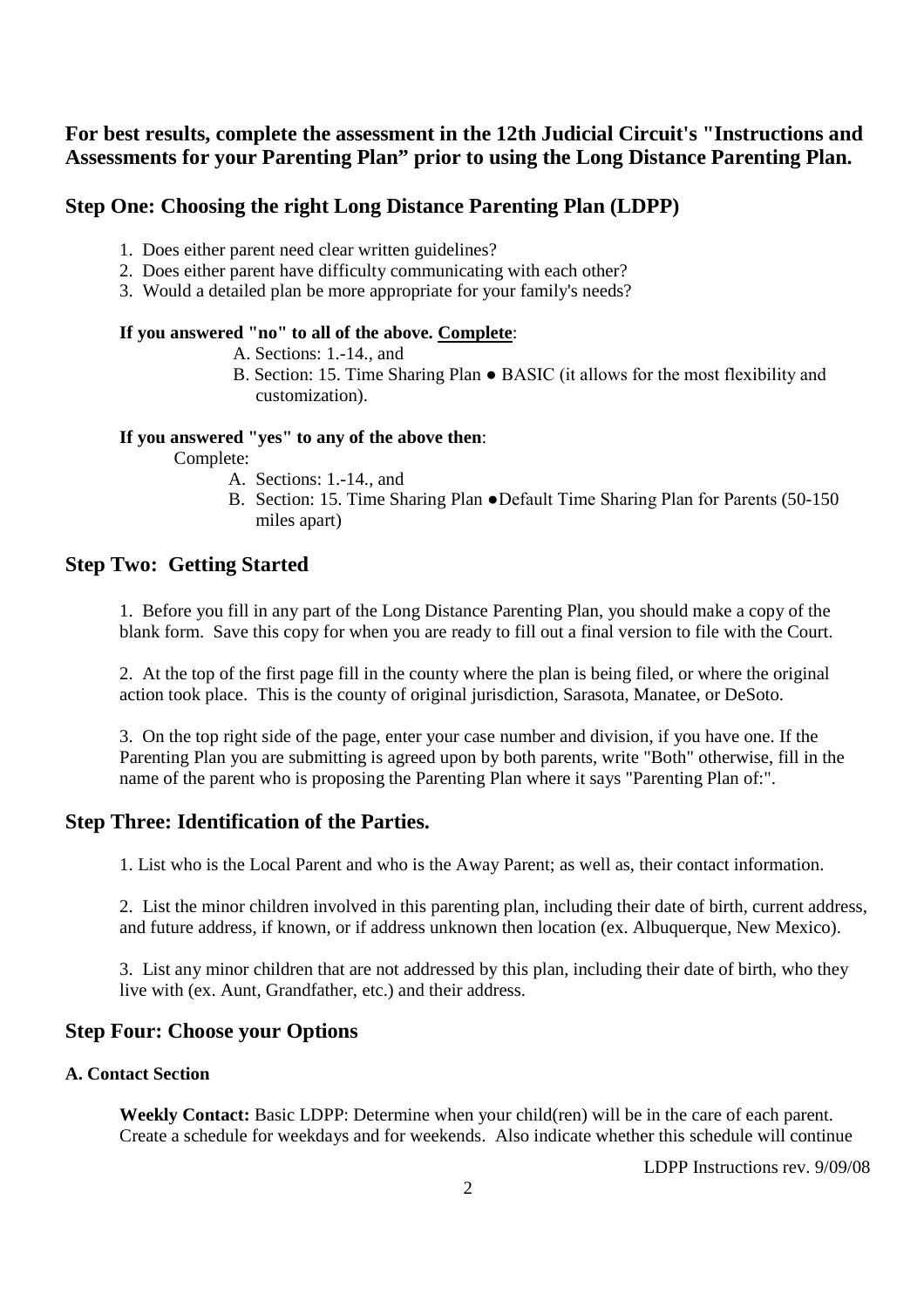# **For best results, complete the assessment in the 12th Judicial Circuit's "Instructions and Assessments for your Parenting Plan" prior to using the Long Distance Parenting Plan.**

### **Step One: Choosing the right Long Distance Parenting Plan (LDPP)**

- 1. Does either parent need clear written guidelines?
- 2. Does either parent have difficulty communicating with each other?
- 3. Would a detailed plan be more appropriate for your family's needs?

### **If you answered "no" to all of the above. Complete**:

- A. Sections: 1.-14., and
- B. Section: 15. Time Sharing Plan BASIC (it allows for the most flexibility and customization).

### **If you answered "yes" to any of the above then**:

Complete:

- A. Sections: 1.-14., and
- B. Section: 15. Time Sharing Plan ●Default Time Sharing Plan for Parents (50-150 miles apart)

### **Step Two: Getting Started**

1. Before you fill in any part of the Long Distance Parenting Plan, you should make a copy of the blank form. Save this copy for when you are ready to fill out a final version to file with the Court.

2. At the top of the first page fill in the county where the plan is being filed, or where the original action took place. This is the county of original jurisdiction, Sarasota, Manatee, or DeSoto.

3. On the top right side of the page, enter your case number and division, if you have one. If the Parenting Plan you are submitting is agreed upon by both parents, write "Both" otherwise, fill in the name of the parent who is proposing the Parenting Plan where it says "Parenting Plan of:".

### **Step Three: Identification of the Parties.**

1. List who is the Local Parent and who is the Away Parent; as well as, their contact information.

2. List the minor children involved in this parenting plan, including their date of birth, current address, and future address, if known, or if address unknown then location (ex. Albuquerque, New Mexico).

3. List any minor children that are not addressed by this plan, including their date of birth, who they live with (ex. Aunt, Grandfather, etc.) and their address.

# **Step Four: Choose your Options**

### **A. Contact Section**

**Weekly Contact:** Basic LDPP: Determine when your child(ren) will be in the care of each parent. Create a schedule for weekdays and for weekends. Also indicate whether this schedule will continue

LDPP Instructions rev. 9/09/08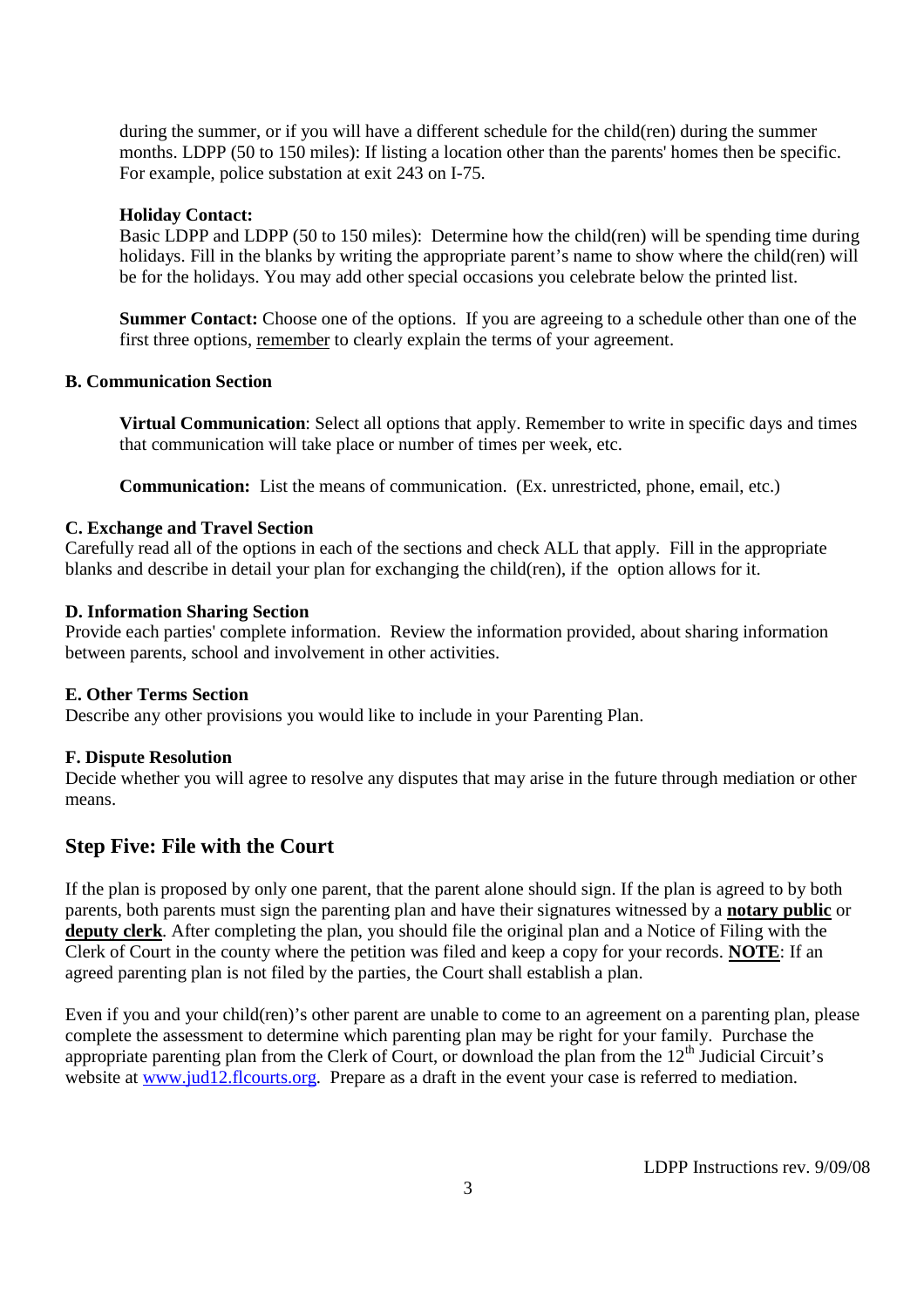during the summer, or if you will have a different schedule for the child(ren) during the summer months. LDPP (50 to 150 miles): If listing a location other than the parents' homes then be specific. For example, police substation at exit 243 on I-75.

### **Holiday Contact:**

Basic LDPP and LDPP (50 to 150 miles): Determine how the child(ren) will be spending time during holidays. Fill in the blanks by writing the appropriate parent's name to show where the child(ren) will be for the holidays. You may add other special occasions you celebrate below the printed list.

**Summer Contact:** Choose one of the options. If you are agreeing to a schedule other than one of the first three options, remember to clearly explain the terms of your agreement.

### **B. Communication Section**

**Virtual Communication**: Select all options that apply. Remember to write in specific days and times that communication will take place or number of times per week, etc.

**Communication:** List the means of communication. (Ex. unrestricted, phone, email, etc.)

### **C. Exchange and Travel Section**

Carefully read all of the options in each of the sections and check ALL that apply. Fill in the appropriate blanks and describe in detail your plan for exchanging the child(ren), if the option allows for it.

### **D. Information Sharing Section**

Provide each parties' complete information. Review the information provided, about sharing information between parents, school and involvement in other activities.

### **E. Other Terms Section**

Describe any other provisions you would like to include in your Parenting Plan.

### **F. Dispute Resolution**

Decide whether you will agree to resolve any disputes that may arise in the future through mediation or other means.

### **Step Five: File with the Court**

If the plan is proposed by only one parent, that the parent alone should sign. If the plan is agreed to by both parents, both parents must sign the parenting plan and have their signatures witnessed by a **notary public** or **deputy clerk**. After completing the plan, you should file the original plan and a Notice of Filing with the Clerk of Court in the county where the petition was filed and keep a copy for your records. **NOTE**: If an agreed parenting plan is not filed by the parties, the Court shall establish a plan.

Even if you and your child(ren)'s other parent are unable to come to an agreement on a parenting plan, please complete the assessment to determine which parenting plan may be right for your family. Purchase the appropriate parenting plan from the Clerk of Court, or download the plan from the 12<sup>th</sup> Judicial Circuit's website at www.jud12.flcourts.org. Prepare as a draft in the event your case is referred to mediation.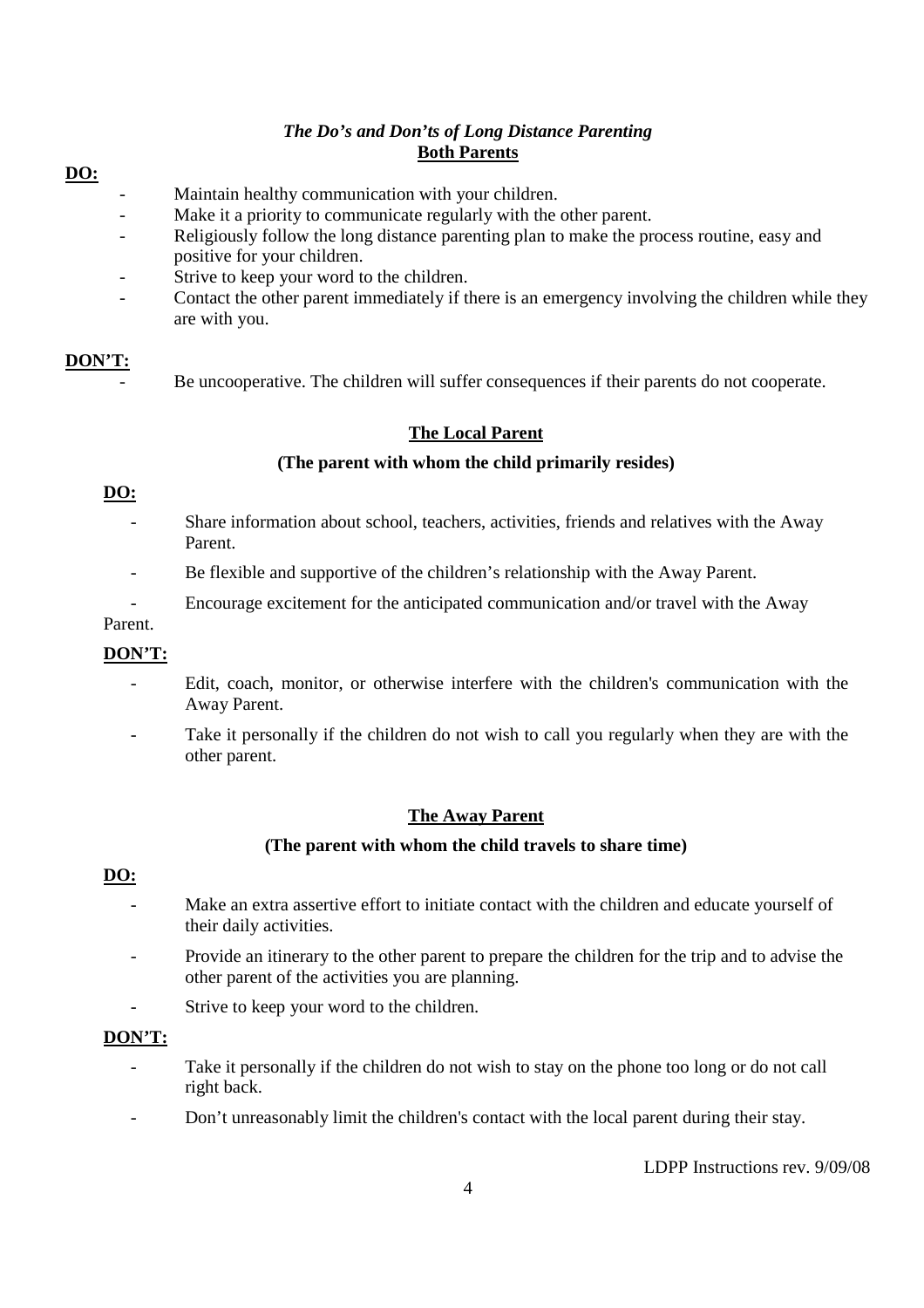# *The Do's and Don'ts of Long Distance Parenting* **Both Parents**

### **DO:**

- Maintain healthy communication with your children.
- Make it a priority to communicate regularly with the other parent.
- Religiously follow the long distance parenting plan to make the process routine, easy and positive for your children.
- Strive to keep your word to the children.
- Contact the other parent immediately if there is an emergency involving the children while they are with you.

### **DON'T:**

Be uncooperative. The children will suffer consequences if their parents do not cooperate.

# **The Local Parent**

### **(The parent with whom the child primarily resides)**

### **DO:**

- Share information about school, teachers, activities, friends and relatives with the Away Parent.
- Be flexible and supportive of the children's relationship with the Away Parent.
- Encourage excitement for the anticipated communication and/or travel with the Away

### Parent.

### **DON'T:**

- Edit, coach, monitor, or otherwise interfere with the children's communication with the Away Parent.
- Take it personally if the children do not wish to call you regularly when they are with the other parent.

### **The Away Parent**

### **(The parent with whom the child travels to share time)**

### **DO:**

- Make an extra assertive effort to initiate contact with the children and educate yourself of their daily activities.
- Provide an itinerary to the other parent to prepare the children for the trip and to advise the other parent of the activities you are planning.
- Strive to keep your word to the children.

### **DON'T:**

- Take it personally if the children do not wish to stay on the phone too long or do not call right back.
- Don't unreasonably limit the children's contact with the local parent during their stay.

LDPP Instructions rev. 9/09/08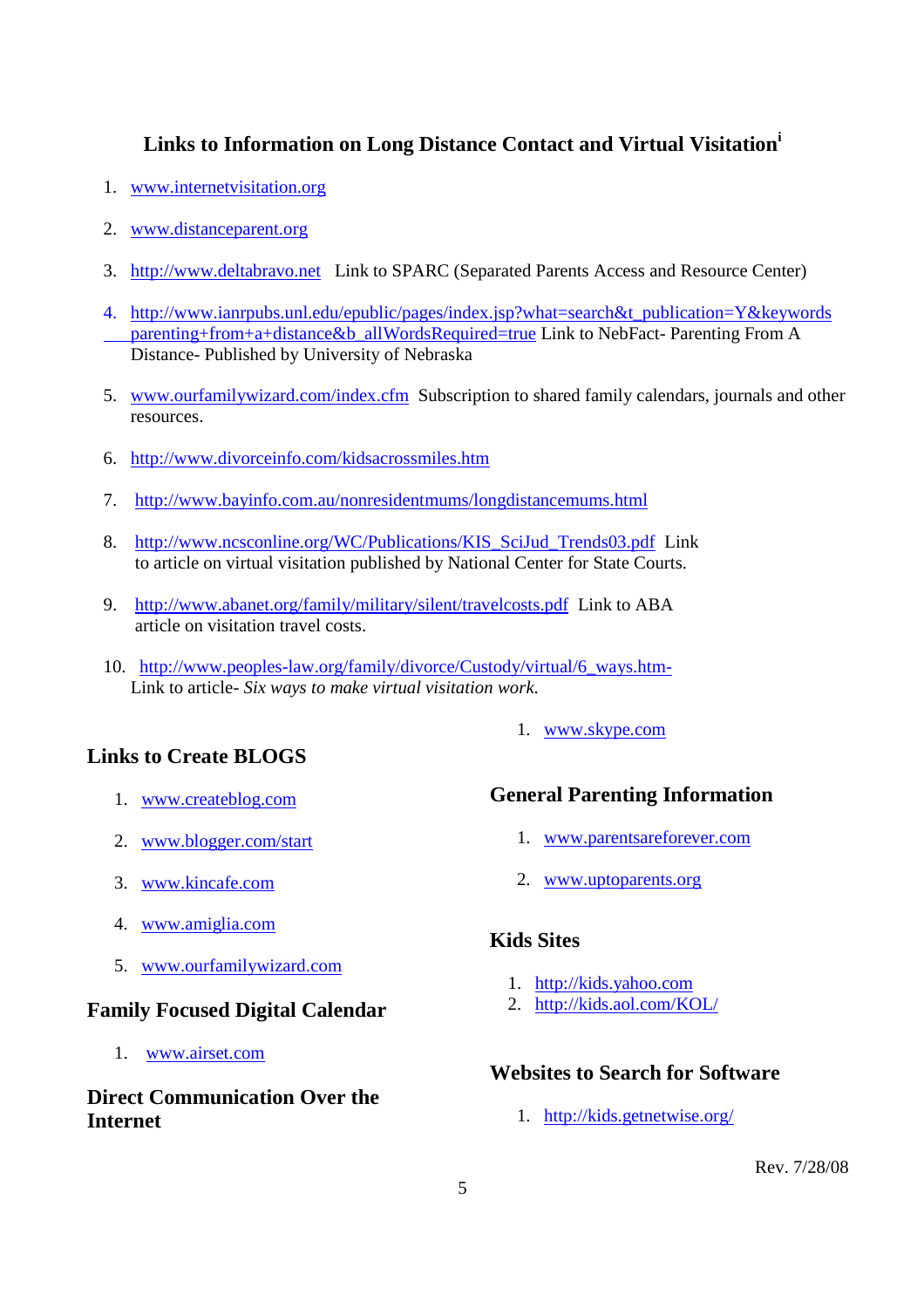# **Links to Information on Long Distance Contact and Virtual Visitation<sup>i</sup>**

- 1. www.internetvisitation.org
- 2. www.distanceparent.org
- 3. http://www.deltabravo.net Link to SPARC (Separated Parents Access and Resource Center)
- 4. http://www.ianrpubs.unl.edu/epublic/pages/index.jsp?what=search&t\_publication=Y&keywords parenting+from+a+distance&b\_allWordsRequired=true Link to NebFact- Parenting From A Distance- Published by University of Nebraska
- 5. www.ourfamilywizard.com/index.cfm Subscription to shared family calendars, journals and other resources.
- 6. http://www.divorceinfo.com/kidsacrossmiles.htm
- 7. http://www.bayinfo.com.au/nonresidentmums/longdistancemums.html
- 8. http://www.ncsconline.org/WC/Publications/KIS\_SciJud\_Trends03.pdf Link to article on virtual visitation published by National Center for State Courts.
- 9. http://www.abanet.org/family/military/silent/travelcosts.pdf Link to ABA article on visitation travel costs.
- 10. http://www.peoples-law.org/family/divorce/Custody/virtual/6\_ways.htm-Link to article- *Six ways to make virtual visitation work*.

# **Links to Create BLOGS**

- 1. www.createblog.com
- 2. www.blogger.com/start
- 3. www.kincafe.com
- 4. www.amiglia.com
- 5. www.ourfamilywizard.com

### **Family Focused Digital Calendar**

1. www.airset.com

# **Direct Communication Over the Internet**

### 1. www.skype.com

# **General Parenting Information**

- 1. www.parentsareforever.com
- 2. www.uptoparents.org

# **Kids Sites**

- 1. http://kids.yahoo.com
- 2. http://kids.aol.com/KOL/

### **Websites to Search for Software**

1. http://kids.getnetwise.org/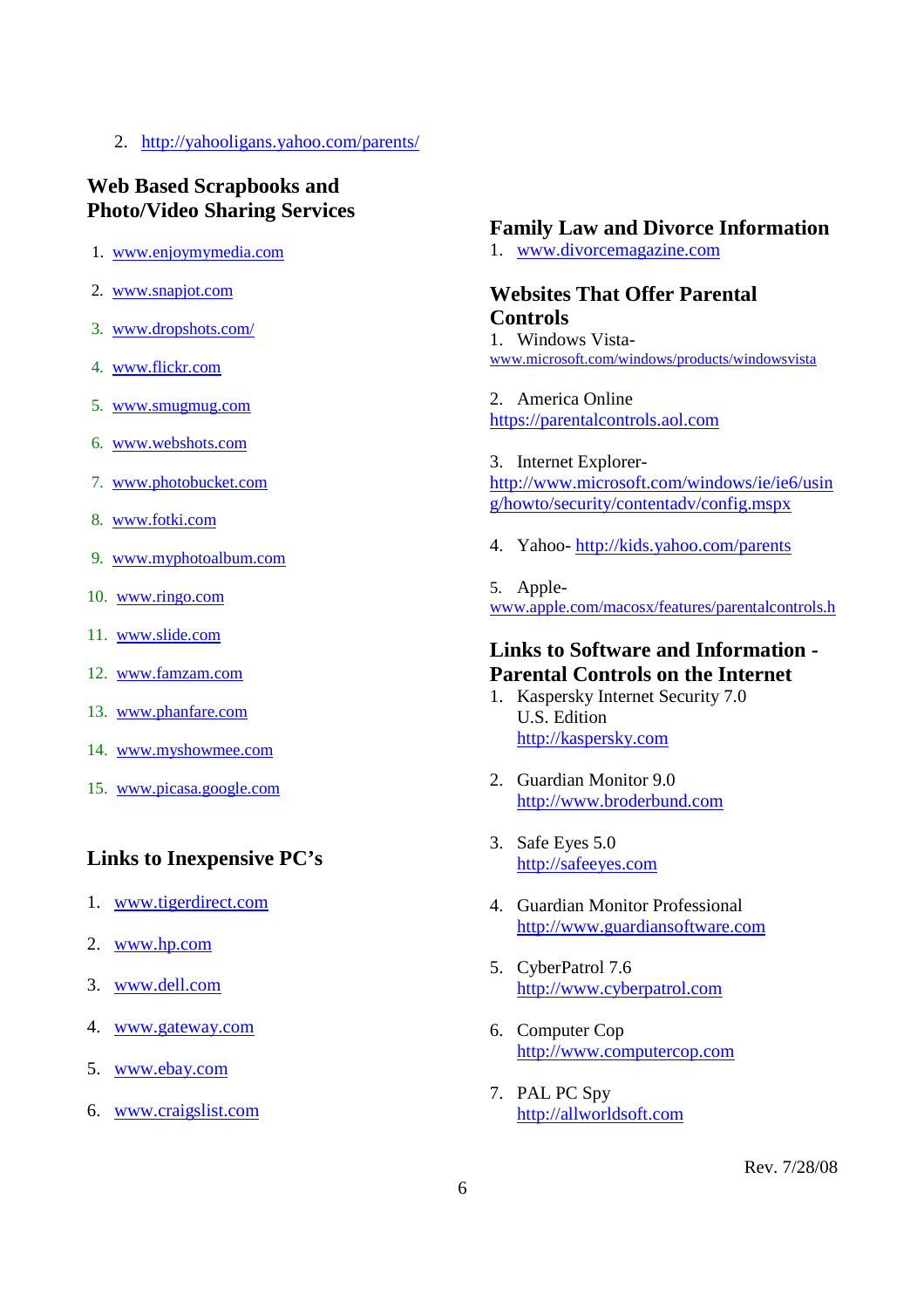2. http://yahooligans.yahoo.com/parents/

# **Web Based Scrapbooks and Photo/Video Sharing Services**

- 1. www.enjoymymedia.com
- 2. www.snapjot.com
- 3. www.dropshots.com/
- 4. www.flickr.com
- 5. www.smugmug.com
- 6. www.webshots.com
- 7. www.photobucket.com
- 8. www.fotki.com
- 9. www.myphotoalbum.com
- 10. www.ringo.com
- 11. www.slide.com
- 12. www.famzam.com
- 13. www.phanfare.com
- 14. www.myshowmee.com
- 15. www.picasa.google.com

# **Links to Inexpensive PC's**

- 1. www.tigerdirect.com
- 2. www.hp.com
- 3. www.dell.com
- 4. www.gateway.com
- 5. www.ebay.com
- 6. www.craigslist.com

# **Family Law and Divorce Information**

1. www.divorcemagazine.com

# **Websites That Offer Parental Controls**

1. Windows Vistawww.microsoft.com/windows/products/windowsvista

2. America Online https://parentalcontrols.aol.com

3. Internet Explorerhttp://www.microsoft.com/windows/ie/ie6/usin g/howto/security/contentadv/config.mspx

4. Yahoo- http://kids.yahoo.com/parents

5. Applewww.apple.com/macosx/features/parentalcontrols.h

# **Links to Software and Information - Parental Controls on the Internet**

- 1. Kaspersky Internet Security 7.0 U.S. Edition http://kaspersky.com
- 2. Guardian Monitor 9.0 http://www.broderbund.com
- 3. Safe Eyes 5.0 http://safeeyes.com
- 4. Guardian Monitor Professional http://www.guardiansoftware.com
- 5. CyberPatrol 7.6 http://www.cyberpatrol.com
- 6. Computer Cop http://www.computercop.com
- 7. PAL PC Spy http://allworldsoft.com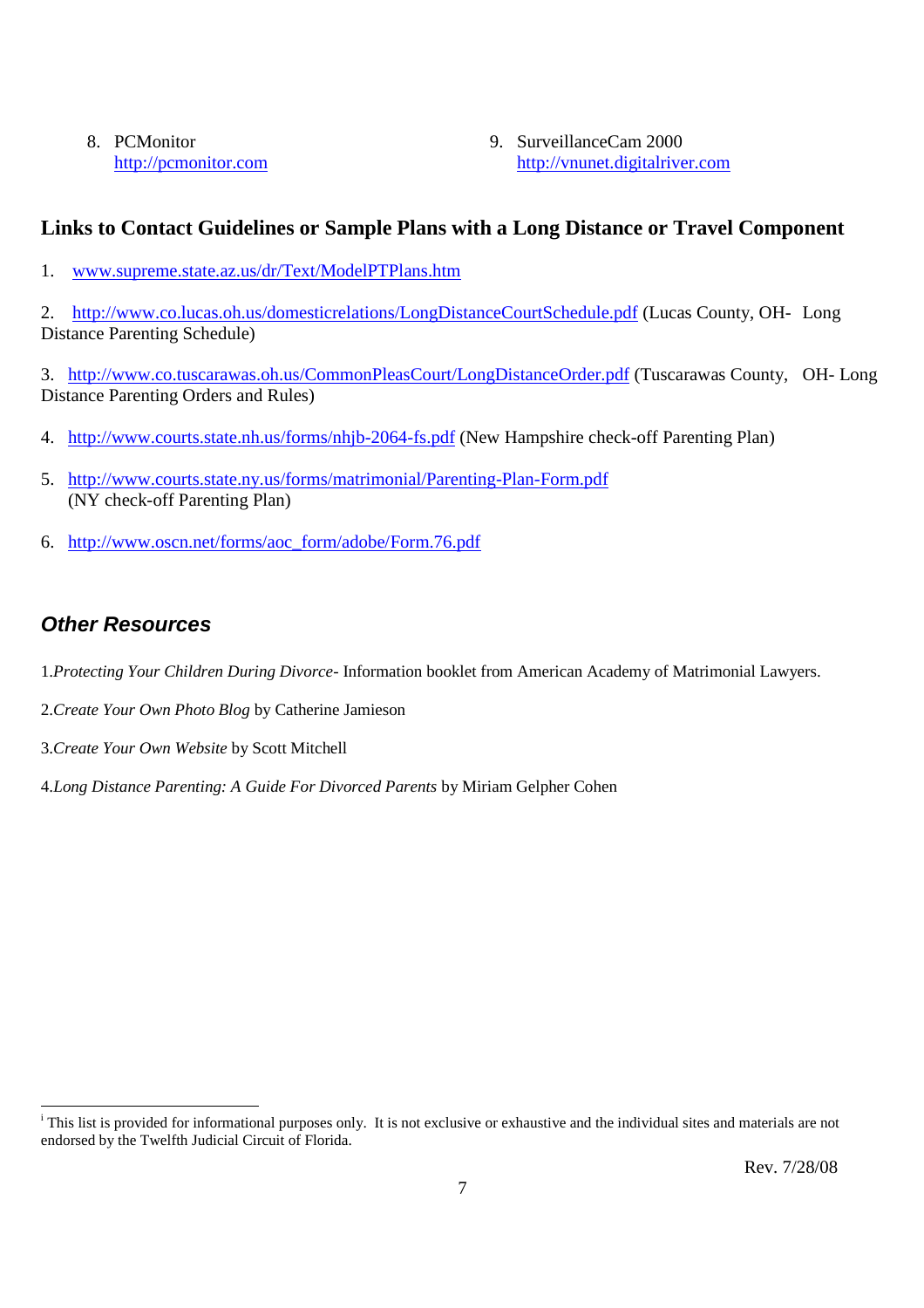8. PCMonitor http://pcmonitor.com 9. SurveillanceCam 2000 http://vnunet.digitalriver.com

# **Links to Contact Guidelines or Sample Plans with a Long Distance or Travel Component**

1. www.supreme.state.az.us/dr/Text/ModelPTPlans.htm

2. http://www.co.lucas.oh.us/domesticrelations/LongDistanceCourtSchedule.pdf (Lucas County, OH- Long Distance Parenting Schedule)

3. http://www.co.tuscarawas.oh.us/CommonPleasCourt/LongDistanceOrder.pdf (Tuscarawas County, OH- Long Distance Parenting Orders and Rules)

- 4. http://www.courts.state.nh.us/forms/nhjb-2064-fs.pdf (New Hampshire check-off Parenting Plan)
- 5. http://www.courts.state.ny.us/forms/matrimonial/Parenting-Plan-Form.pdf (NY check-off Parenting Plan)
- 6. http://www.oscn.net/forms/aoc\_form/adobe/Form.76.pdf

# *Other Resources*

- 1.*Protecting Your Children During Divorce* Information booklet from American Academy of Matrimonial Lawyers.
- 2.*Create Your Own Photo Blog* by Catherine Jamieson
- 3.*Create Your Own Website* by Scott Mitchell

4.*Long Distance Parenting: A Guide For Divorced Parents* by Miriam Gelpher Cohen

<sup>&</sup>lt;sup>i</sup> This list is provided for informational purposes only. It is not exclusive or exhaustive and the individual sites and materials are not endorsed by the Twelfth Judicial Circuit of Florida.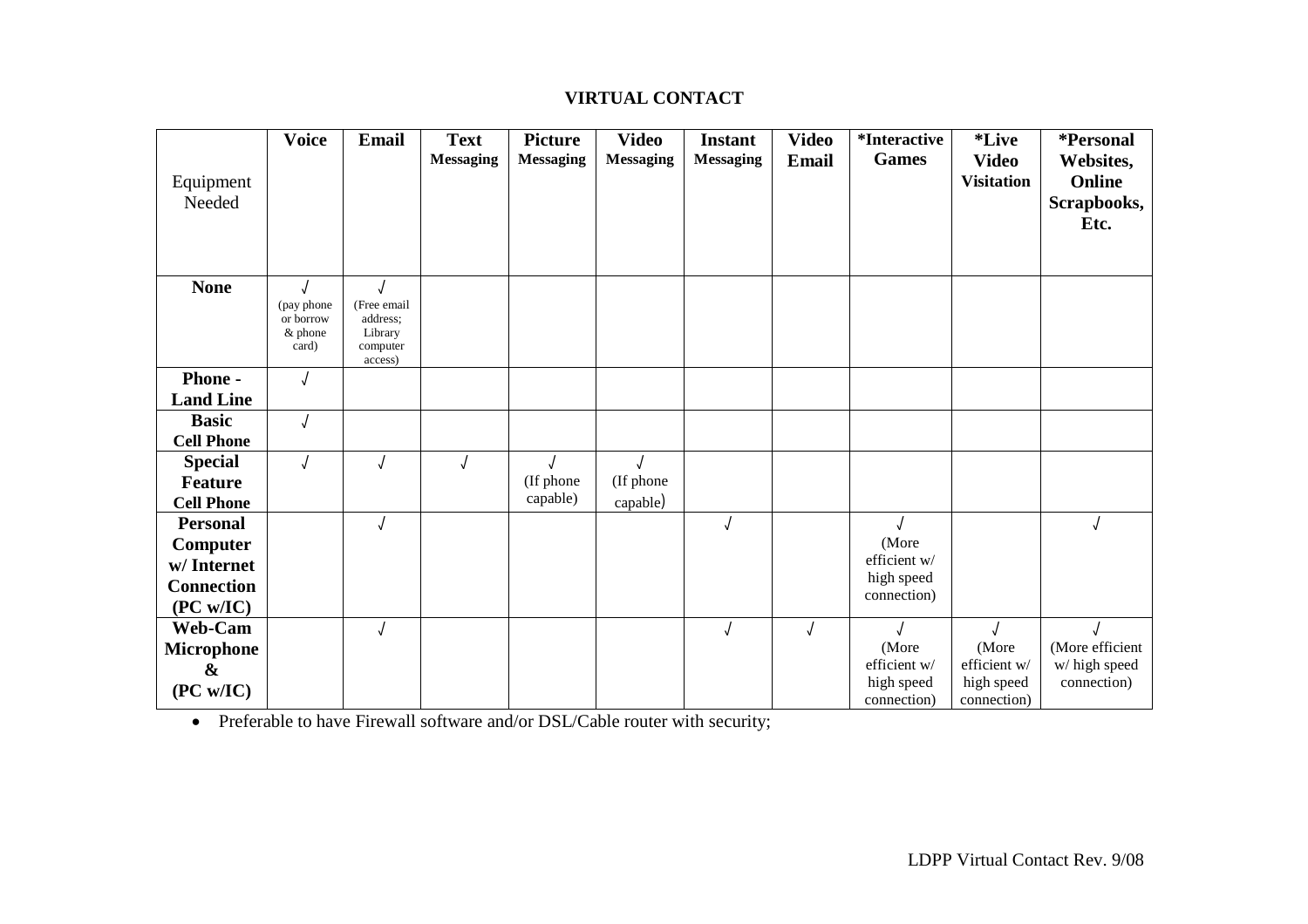# **VIRTUAL CONTACT**

|                     | <b>Voice</b>                                 | <b>Email</b>                                              | <b>Text</b><br><b>Messaging</b> | <b>Picture</b><br><b>Messaging</b> | <b>Video</b><br><b>Messaging</b> | <b>Instant</b><br><b>Messaging</b> | <b>Video</b> | <i>*Interactive</i><br><b>Games</b> | <i>*Live</i>                      | *Personal                                  |
|---------------------|----------------------------------------------|-----------------------------------------------------------|---------------------------------|------------------------------------|----------------------------------|------------------------------------|--------------|-------------------------------------|-----------------------------------|--------------------------------------------|
| Equipment<br>Needed |                                              |                                                           |                                 |                                    |                                  |                                    | Email        |                                     | <b>Video</b><br><b>Visitation</b> | Websites,<br>Online<br>Scrapbooks,<br>Etc. |
| <b>None</b>         | (pay phone)<br>or borrow<br>& phone<br>card) | (Free email<br>address;<br>Library<br>computer<br>access) |                                 |                                    |                                  |                                    |              |                                     |                                   |                                            |
| Phone -             |                                              |                                                           |                                 |                                    |                                  |                                    |              |                                     |                                   |                                            |
| <b>Land Line</b>    |                                              |                                                           |                                 |                                    |                                  |                                    |              |                                     |                                   |                                            |
| <b>Basic</b>        | J                                            |                                                           |                                 |                                    |                                  |                                    |              |                                     |                                   |                                            |
| <b>Cell Phone</b>   |                                              |                                                           |                                 |                                    |                                  |                                    |              |                                     |                                   |                                            |
| <b>Special</b>      |                                              |                                                           |                                 |                                    |                                  |                                    |              |                                     |                                   |                                            |
| <b>Feature</b>      |                                              |                                                           |                                 | (If phone                          | (If phone                        |                                    |              |                                     |                                   |                                            |
| <b>Cell Phone</b>   |                                              |                                                           |                                 | capable)                           | capable)                         |                                    |              |                                     |                                   |                                            |
| <b>Personal</b>     |                                              |                                                           |                                 |                                    |                                  | $\sqrt{ }$                         |              |                                     |                                   |                                            |
| Computer            |                                              |                                                           |                                 |                                    |                                  |                                    |              | (More                               |                                   |                                            |
| w/Internet          |                                              |                                                           |                                 |                                    |                                  |                                    |              | efficient w/                        |                                   |                                            |
| <b>Connection</b>   |                                              |                                                           |                                 |                                    |                                  |                                    |              | high speed<br>connection)           |                                   |                                            |
| (PC w/IC)           |                                              |                                                           |                                 |                                    |                                  |                                    |              |                                     |                                   |                                            |
| Web-Cam             |                                              |                                                           |                                 |                                    |                                  | $\sqrt{ }$                         |              |                                     |                                   |                                            |
| <b>Microphone</b>   |                                              |                                                           |                                 |                                    |                                  |                                    |              | (More                               | (More                             | (More efficient                            |
| $\boldsymbol{\&}$   |                                              |                                                           |                                 |                                    |                                  |                                    |              | efficient w/                        | efficient w/                      | w/ high speed                              |
| (PC w/IC)           |                                              |                                                           |                                 |                                    |                                  |                                    |              | high speed<br>connection)           | high speed<br>connection)         | connection)                                |

• Preferable to have Firewall software and/or DSL/Cable router with security;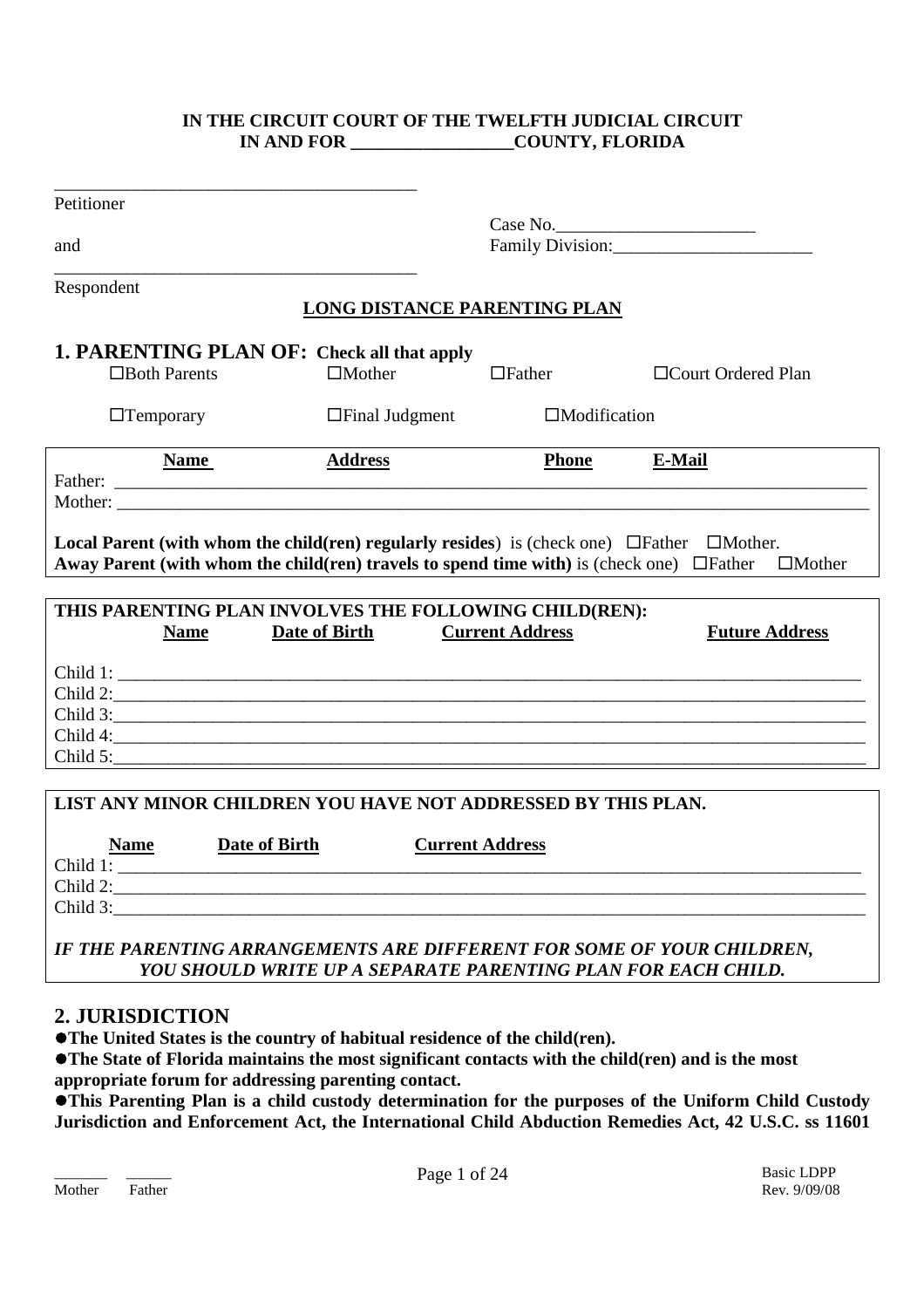### **IN THE CIRCUIT COURT OF THE TWELFTH JUDICIAL CIRCUIT IN AND FOR \_\_\_\_\_\_\_\_\_\_\_\_\_\_\_\_\_\_COUNTY, FLORIDA**

| Petitioner          |                                                                                                                                                                                                                |                                     |                               |                       |
|---------------------|----------------------------------------------------------------------------------------------------------------------------------------------------------------------------------------------------------------|-------------------------------------|-------------------------------|-----------------------|
|                     |                                                                                                                                                                                                                |                                     |                               |                       |
| and                 |                                                                                                                                                                                                                |                                     |                               | Family Division:      |
| Respondent          |                                                                                                                                                                                                                |                                     |                               |                       |
|                     |                                                                                                                                                                                                                | <b>LONG DISTANCE PARENTING PLAN</b> |                               |                       |
|                     | 1. PARENTING PLAN OF: Check all that apply                                                                                                                                                                     |                                     |                               |                       |
| $\Box$ Both Parents | $\Box$ Mother                                                                                                                                                                                                  | $\Box$ Father                       |                               | □Court Ordered Plan   |
| $\Box$ Temporary    | $\Box$ Final Judgment                                                                                                                                                                                          |                                     | $\Box$ Modification           |                       |
| <b>Name</b>         | <b>Address</b>                                                                                                                                                                                                 |                                     | <b>Phone</b><br><b>E-Mail</b> |                       |
|                     |                                                                                                                                                                                                                |                                     |                               |                       |
|                     |                                                                                                                                                                                                                |                                     |                               |                       |
|                     | <b>Local Parent (with whom the child(ren) regularly resides)</b> is (check one) $\Box$ Father $\Box$ Mother.<br>Away Parent (with whom the child(ren) travels to spend time with) is (check one) $\Box$ Father |                                     |                               | $\Box$ Mother         |
|                     |                                                                                                                                                                                                                |                                     |                               |                       |
|                     | THIS PARENTING PLAN INVOLVES THE FOLLOWING CHILD(REN):                                                                                                                                                         |                                     |                               |                       |
| <b>Name</b>         | Date of Birth                                                                                                                                                                                                  | <b>Current Address</b>              |                               | <b>Future Address</b> |
|                     |                                                                                                                                                                                                                |                                     |                               |                       |
|                     | $\text{Child } 2:$                                                                                                                                                                                             |                                     |                               |                       |
|                     | Child 3:                                                                                                                                                                                                       |                                     |                               |                       |
|                     | Child 4:                                                                                                                                                                                                       |                                     |                               |                       |
|                     | Child 5:                                                                                                                                                                                                       |                                     |                               |                       |
|                     |                                                                                                                                                                                                                |                                     |                               |                       |
|                     | LIST ANY MINOR CHILDREN YOU HAVE NOT ADDRESSED BY THIS PLAN.                                                                                                                                                   |                                     |                               |                       |
|                     |                                                                                                                                                                                                                |                                     |                               |                       |
| <b>Name</b>         | Date of Birth                                                                                                                                                                                                  | <b>Current Address</b>              |                               |                       |
|                     | Child 1:                                                                                                                                                                                                       |                                     |                               |                       |
| Child 2:            |                                                                                                                                                                                                                |                                     |                               |                       |

*IF THE PARENTING ARRANGEMENTS ARE DIFFERENT FOR SOME OF YOUR CHILDREN, YOU SHOULD WRITE UP A SEPARATE PARENTING PLAN FOR EACH CHILD.*

Child 3:\_\_\_\_\_\_\_\_\_\_\_\_\_\_\_\_\_\_\_\_\_\_\_\_\_\_\_\_\_\_\_\_\_\_\_\_\_\_\_\_\_\_\_\_\_\_\_\_\_\_\_\_\_\_\_\_\_\_\_\_\_\_\_\_\_\_\_\_\_\_\_\_\_\_\_\_\_\_\_\_\_\_\_

# **2. JURISDICTION**

**The United States is the country of habitual residence of the child(ren).**

**The State of Florida maintains the most significant contacts with the child(ren) and is the most appropriate forum for addressing parenting contact.**

**This Parenting Plan is a child custody determination for the purposes of the Uniform Child Custody Jurisdiction and Enforcement Act, the International Child Abduction Remedies Act, 42 U.S.C. ss 11601**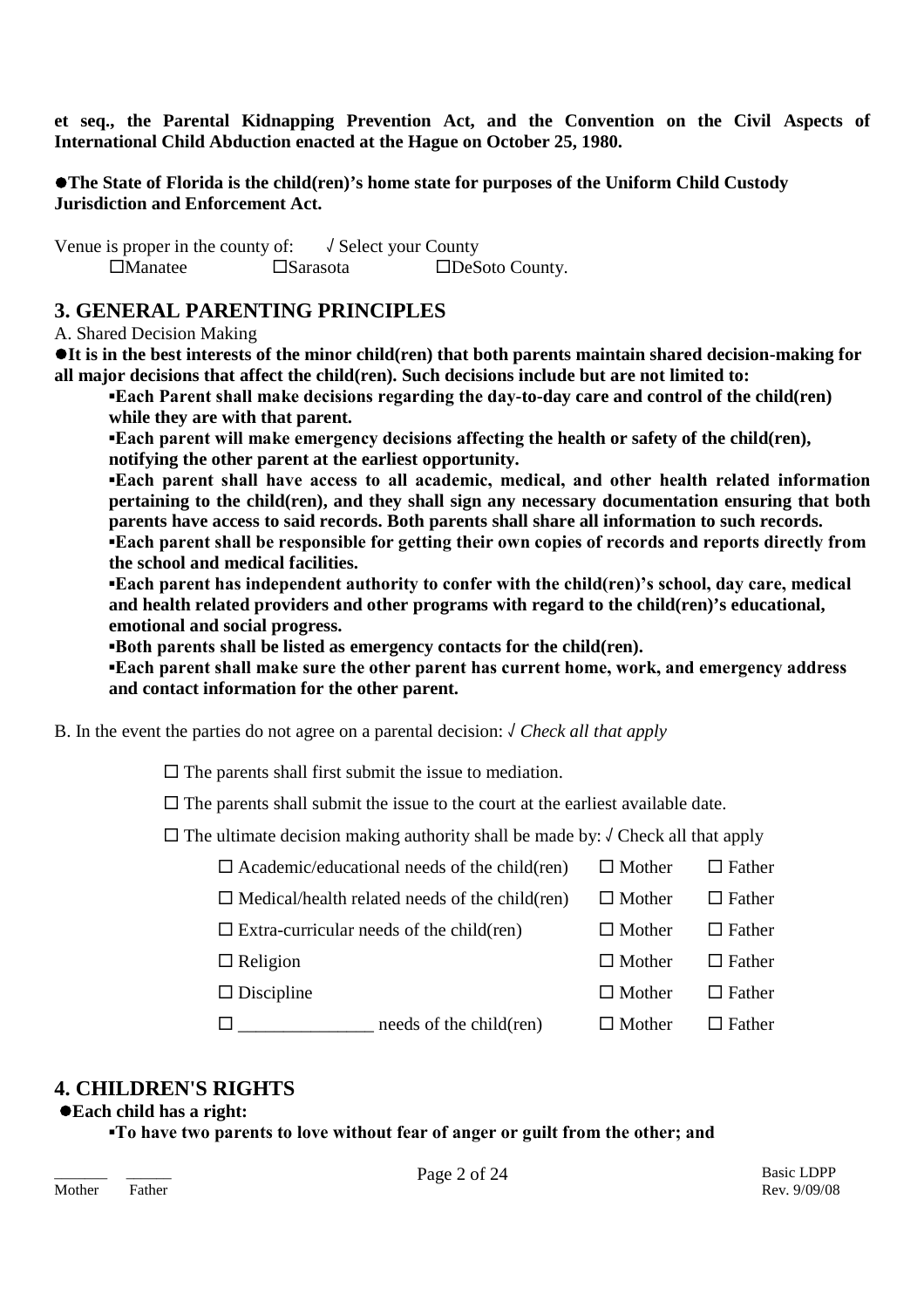**et seq., the Parental Kidnapping Prevention Act, and the Convention on the Civil Aspects of International Child Abduction enacted at the Hague on October 25, 1980.**

**The State of Florida is the child(ren)'s home state for purposes of the Uniform Child Custody Jurisdiction and Enforcement Act.**

Venue is proper in the county of:  $\sqrt{\text{Select}}$  your County Manatee Sarasota DeSoto County.

# **3. GENERAL PARENTING PRINCIPLES**

A. Shared Decision Making

**It is in the best interests of the minor child(ren) that both parents maintain shared decision-making for all major decisions that affect the child(ren). Such decisions include but are not limited to:**

**▪Each Parent shall make decisions regarding the day-to-day care and control of the child(ren) while they are with that parent.**

**▪Each parent will make emergency decisions affecting the health or safety of the child(ren), notifying the other parent at the earliest opportunity.**

**▪Each parent shall have access to all academic, medical, and other health related information pertaining to the child(ren), and they shall sign any necessary documentation ensuring that both parents have access to said records. Both parents shall share all information to such records. ▪Each parent shall be responsible for getting their own copies of records and reports directly from the school and medical facilities.**

**▪Each parent has independent authority to confer with the child(ren)'s school, day care, medical and health related providers and other programs with regard to the child(ren)'s educational, emotional and social progress.**

**▪Both parents shall be listed as emergency contacts for the child(ren).**

**▪Each parent shall make sure the other parent has current home, work, and emergency address and contact information for the other parent.**

B. In the event the parties do not agree on a parental decision: √ *Check all that apply*

 $\square$  The parents shall first submit the issue to mediation.

 $\square$  The parents shall submit the issue to the court at the earliest available date.

 $\Box$  The ultimate decision making authority shall be made by:  $\Diamond$  Check all that apply

- $\Box$  Academic/educational needs of the child(ren)  $\Box$  Mother  $\Box$  Father  $\Box$  Medical/health related needs of the child(ren)  $\Box$  Mother  $\Box$  Father
- $\square$  Extra-curricular needs of the child(ren)  $\square$  Mother  $\square$  Father
	- $\Box$  Religion  $\Box$  Mother  $\Box$  Father

 $\square$  Discipline  $\square$  Mother  $\square$  Father

 $\square$  \_\_\_\_\_\_\_\_\_\_\_\_\_\_\_\_ needs of the child(ren)  $\square$  Mother  $\square$  Father

# **4. CHILDREN'S RIGHTS**

### **Each child has a right:**

**▪To have two parents to love without fear of anger or guilt from the other; and**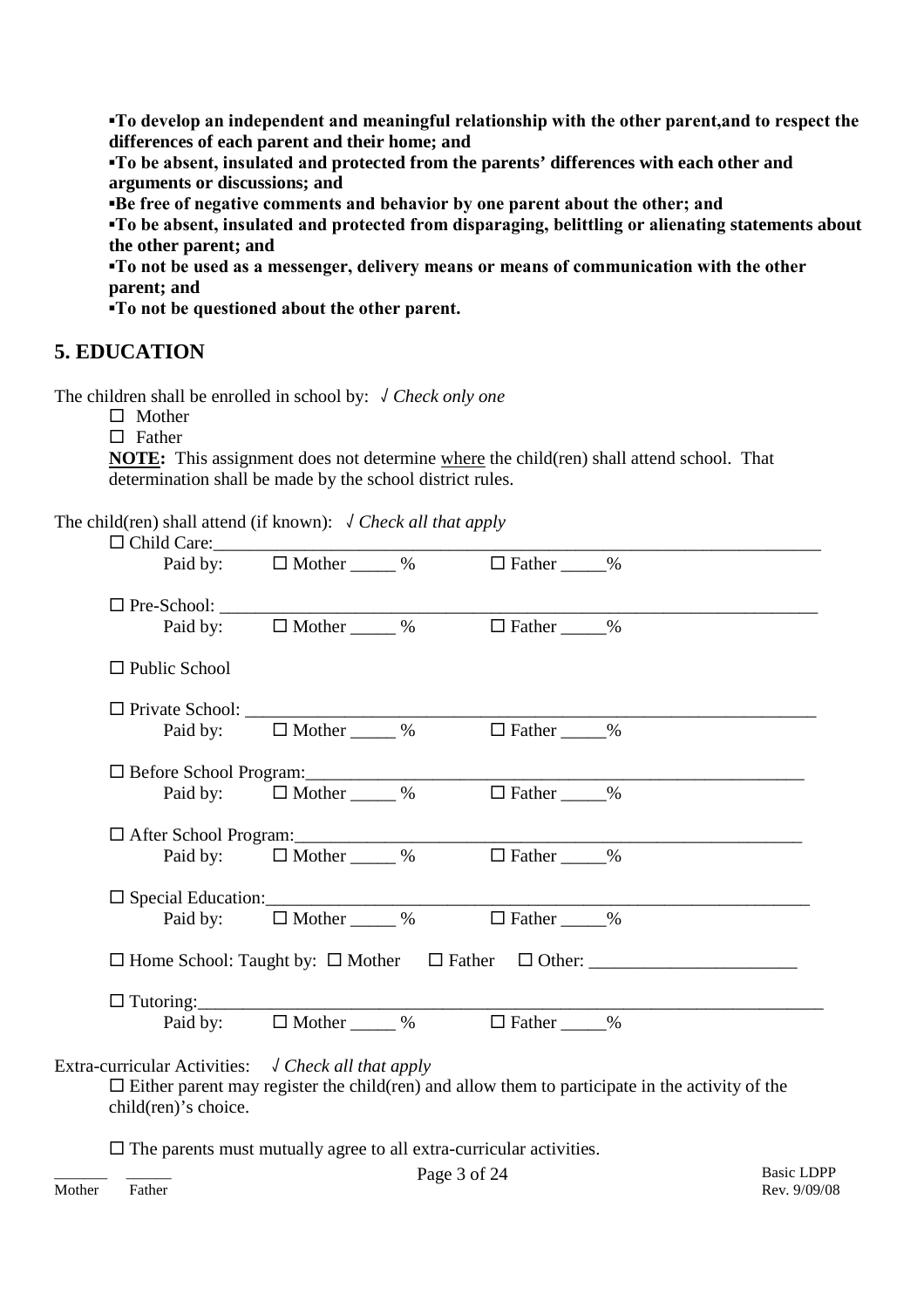**▪To develop an independent and meaningful relationship with the other parent,and to respect the differences of each parent and their home; and**

**▪To be absent, insulated and protected from the parents' differences with each other and arguments or discussions; and**

**▪Be free of negative comments and behavior by one parent about the other; and**

**▪To be absent, insulated and protected from disparaging, belittling or alienating statements about the other parent; and**

**▪To not be used as a messenger, delivery means or means of communication with the other parent; and**

**▪To not be questioned about the other parent.**

# **5. EDUCATION**

The children shall be enrolled in school by: √ *Check only one*

 $\square$  Mother

 $\Box$  Father

**NOTE:** This assignment does not determine where the child(ren) shall attend school. That determination shall be made by the school district rules.

The child(ren) shall attend (if known): √ *Check all that apply*

| □ Child Care:                                                                        |                                          |                                                                                         |                                                                                                        |
|--------------------------------------------------------------------------------------|------------------------------------------|-----------------------------------------------------------------------------------------|--------------------------------------------------------------------------------------------------------|
|                                                                                      |                                          | Paid by: $\Box$ Mother _____ % $\Box$ Father ____ %                                     |                                                                                                        |
|                                                                                      |                                          |                                                                                         |                                                                                                        |
|                                                                                      |                                          | Paid by: $\Box$ Mother ______ % $\Box$ Father _____ %                                   |                                                                                                        |
| $\Box$ Public School                                                                 |                                          |                                                                                         |                                                                                                        |
|                                                                                      |                                          |                                                                                         |                                                                                                        |
|                                                                                      |                                          | Paid by: $\Box$ Mother ______ % $\Box$ Father _____ %                                   |                                                                                                        |
|                                                                                      |                                          |                                                                                         |                                                                                                        |
|                                                                                      | Paid by: $\Box$ Mother $\_\_\_\_\_\_\_\$ | $\Box$ Father $\_\_\_\_\$                                                               |                                                                                                        |
|                                                                                      |                                          |                                                                                         |                                                                                                        |
|                                                                                      | Paid by: $\Box$ Mother ______ %          | $\Box$ Father $\_\_\_\%$                                                                |                                                                                                        |
|                                                                                      |                                          |                                                                                         |                                                                                                        |
|                                                                                      |                                          | $\Box$ Special Education:<br>Paid by: $\Box$ Mother $\_\_\_\%$ $\Box$ Father $\_\_\_\%$ |                                                                                                        |
|                                                                                      |                                          |                                                                                         |                                                                                                        |
|                                                                                      |                                          |                                                                                         |                                                                                                        |
|                                                                                      |                                          | Paid by: $\Box$ Mother _____ % $\Box$ Father ____ %                                     |                                                                                                        |
| Extra-curricular Activities: $\sqrt{C}$ Check all that apply<br>child(ren)'s choice. |                                          |                                                                                         | $\Box$ Either parent may register the child (ren) and allow them to participate in the activity of the |
|                                                                                      |                                          | $\Box$ The parents must mutually agree to all extra-curricular activities.              |                                                                                                        |

\_\_\_\_\_\_\_ \_\_\_\_\_\_ Basic LDPP Page 3 of 24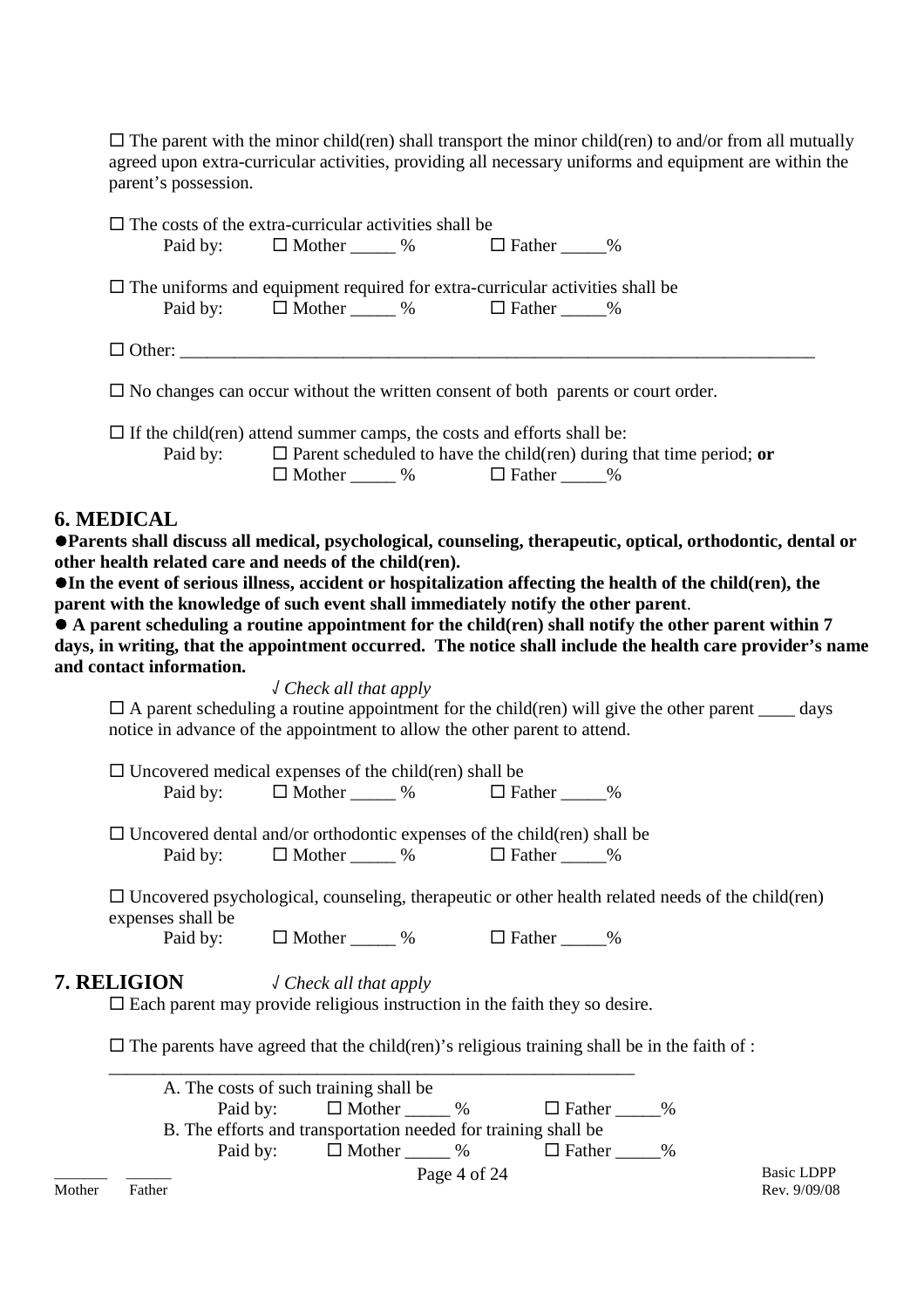$\Box$  The parent with the minor child(ren) shall transport the minor child(ren) to and/or from all mutually agreed upon extra-curricular activities, providing all necessary uniforms and equipment are within the parent's possession.

|                                                                                         | $\Box$ The costs of the extra-curricular activities shall be<br>Paid by: $\Box$ Mother _____ % $\Box$ Father ____ %                          |  |  |  |  |  |  |
|-----------------------------------------------------------------------------------------|----------------------------------------------------------------------------------------------------------------------------------------------|--|--|--|--|--|--|
|                                                                                         | $\Box$ The uniforms and equipment required for extra-curricular activities shall be<br>Paid by: $\Box$ Mother ______ % $\Box$ Father _____ % |  |  |  |  |  |  |
|                                                                                         |                                                                                                                                              |  |  |  |  |  |  |
| $\Box$ No changes can occur without the written consent of both parents or court order. |                                                                                                                                              |  |  |  |  |  |  |
| $\Box$ If the child (ren) attend summer camps, the costs and efforts shall be:          |                                                                                                                                              |  |  |  |  |  |  |

Paid by:  $\Box$  Parent scheduled to have the child(ren) during that time period; or  $\Box$  Mother \_\_\_\_\_\_ %  $\Box$  Father \_\_\_\_\_ %

### **6. MEDICAL**

**Parents shall discuss all medical, psychological, counseling, therapeutic, optical, orthodontic, dental or other health related care and needs of the child(ren).**

**In the event of serious illness, accident or hospitalization affecting the health of the child(ren), the parent with the knowledge of such event shall immediately notify the other parent**.

 **A parent scheduling a routine appointment for the child(ren) shall notify the other parent within 7 days, in writing, that the appointment occurred. The notice shall include the health care provider's name and contact information.**

√ *Check all that apply*

 $\Box$  A parent scheduling a routine appointment for the child(ren) will give the other parent days notice in advance of the appointment to allow the other parent to attend.

 $\Box$  Uncovered medical expenses of the child(ren) shall be<br>Paid by:  $\Box$  Mother %  $\Box$  Father % Paid by:  $\Box$  Mother  $\%$ 

 $\Box$  Uncovered dental and/or orthodontic expenses of the child(ren) shall be Paid by:  $\Box$  Mother  $\%\$   $\Box$  Father  $\%\$ 

 $\Box$  Uncovered psychological, counseling, therapeutic or other health related needs of the child(ren) expenses shall be

Paid by:  $\Box$  Mother \_\_\_\_\_ %  $\Box$  Father \_\_\_\_ %

### **7. RELIGION** √ *Check all that apply*

 $\square$  Each parent may provide religious instruction in the faith they so desire.

\_\_\_\_\_\_\_\_\_\_\_\_\_\_\_\_\_\_\_\_\_\_\_\_\_\_\_\_\_\_\_\_\_\_\_\_\_\_\_\_\_\_\_\_\_\_\_\_\_\_\_\_\_\_\_\_\_\_

 $\Box$  The parents have agreed that the child(ren)'s religious training shall be in the faith of :

\_\_\_\_\_\_\_ \_\_\_\_\_\_ Basic LDPP Page 4 of 24 A. The costs of such training shall be Paid by:  $\Box$  Mother  $\Box$  %  $\Box$  Father  $\Box$  % B. The efforts and transportation needed for training shall be<br>Paid by:  $\Box$  Mother  $\%$   $\Box$  Father  $\%$ Paid by:  $\square$  Mother  $\_\_\_\%$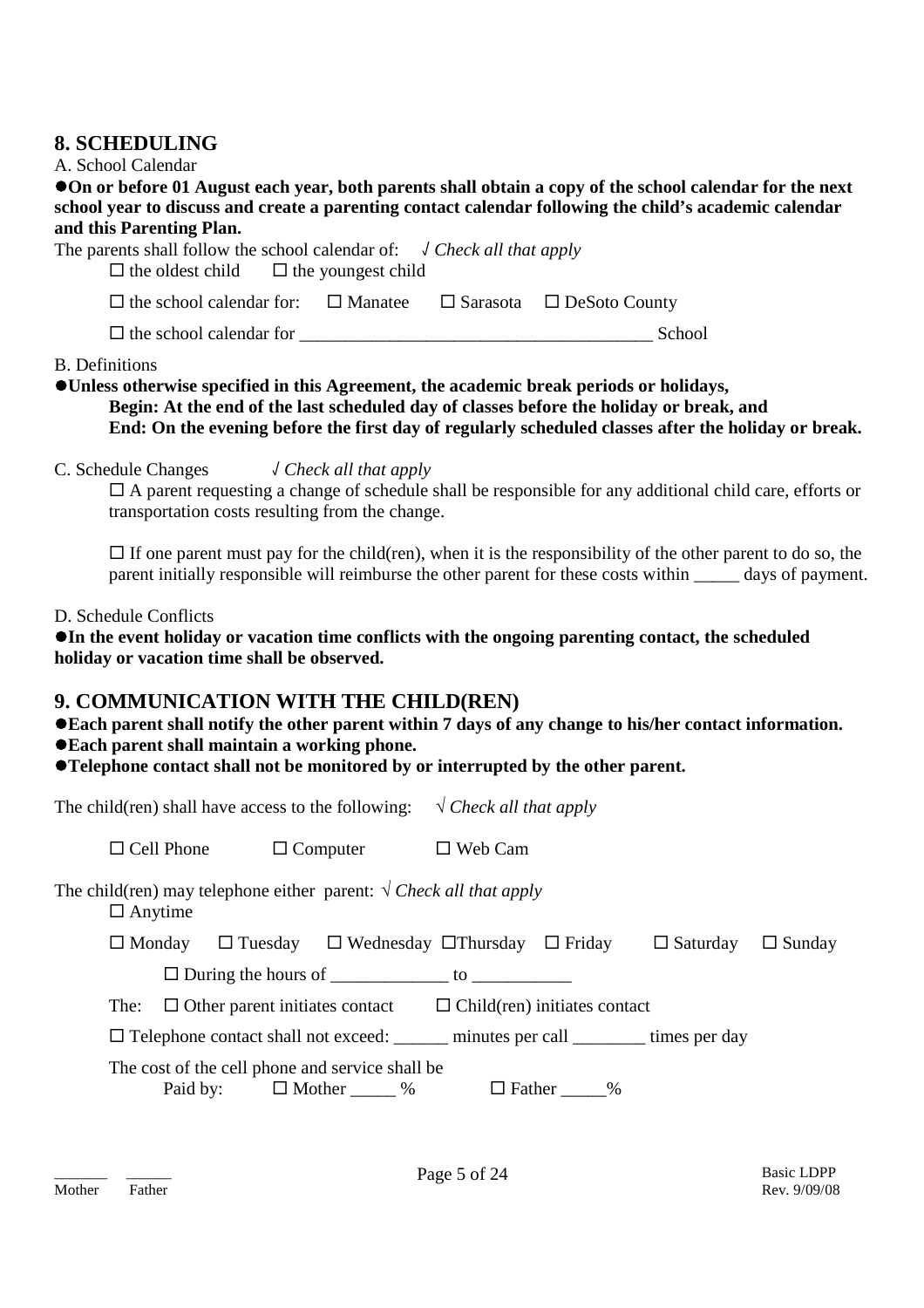# **8. SCHEDULING**

### A. School Calendar

**On or before 01 August each year, both parents shall obtain a copy of the school calendar for the next school year to discuss and create a parenting contact calendar following the child's academic calendar and this Parenting Plan.**

| The parents shall follow the school calendar of: $\sqrt{C}$ Check all that apply<br>$\Box$ the oldest child $\Box$ the youngest child |  |               |
|---------------------------------------------------------------------------------------------------------------------------------------|--|---------------|
| $\Box$ the school calendar for: $\Box$ Manatee $\Box$ Sarasota $\Box$ DeSoto County                                                   |  |               |
| $\Box$ the school calendar for                                                                                                        |  | <b>School</b> |

B. Definitions

- **Unless otherwise specified in this Agreement, the academic break periods or holidays, Begin: At the end of the last scheduled day of classes before the holiday or break, and End: On the evening before the first day of regularly scheduled classes after the holiday or break.**
- C. Schedule Changes √ *Check all that apply*

 $\Box$  A parent requesting a change of schedule shall be responsible for any additional child care, efforts or transportation costs resulting from the change.

 $\Box$  If one parent must pay for the child(ren), when it is the responsibility of the other parent to do so, the parent initially responsible will reimburse the other parent for these costs within days of payment.

D. Schedule Conflicts

**In the event holiday or vacation time conflicts with the ongoing parenting contact, the scheduled holiday or vacation time shall be observed.**

# **9. COMMUNICATION WITH THE CHILD(REN)**

**Each parent shall notify the other parent within 7 days of any change to his/her contact information.**

- **Each parent shall maintain a working phone.**
- **Telephone contact shall not be monitored by or interrupted by the other parent.**

The child(ren) shall have access to the following:  $\sqrt{C \cdot R}$  *N Check all that apply* 

 $\Box$  Cell Phone  $\Box$  Computer  $\Box$  Web Cam

The child(ren) may telephone either parent:  $\sqrt{C \cdot \text{Reck}}$  *all that apply* □ Anytime

| $\square$ Monday |                                            | $\Box$ Tuesday $\Box$ Wednesday $\Box$ Thursday $\Box$ Friday |     |                                     | $\Box$ Saturday $\Box$ Sunday |  |
|------------------|--------------------------------------------|---------------------------------------------------------------|-----|-------------------------------------|-------------------------------|--|
|                  | $\Box$ During the hours of                 |                                                               | TO. |                                     |                               |  |
|                  | The: $\Box$ Other parent initiates contact |                                                               |     | $\Box$ Child(ren) initiates contact |                               |  |

 $\Box$  Telephone contact shall not exceed: \_\_\_\_\_\_\_ minutes per call \_\_\_\_\_\_\_\_ times per day

The cost of the cell phone and service shall be

Paid by:  $\Box$  Mother  $\degree$  %  $\Box$  Father  $\degree$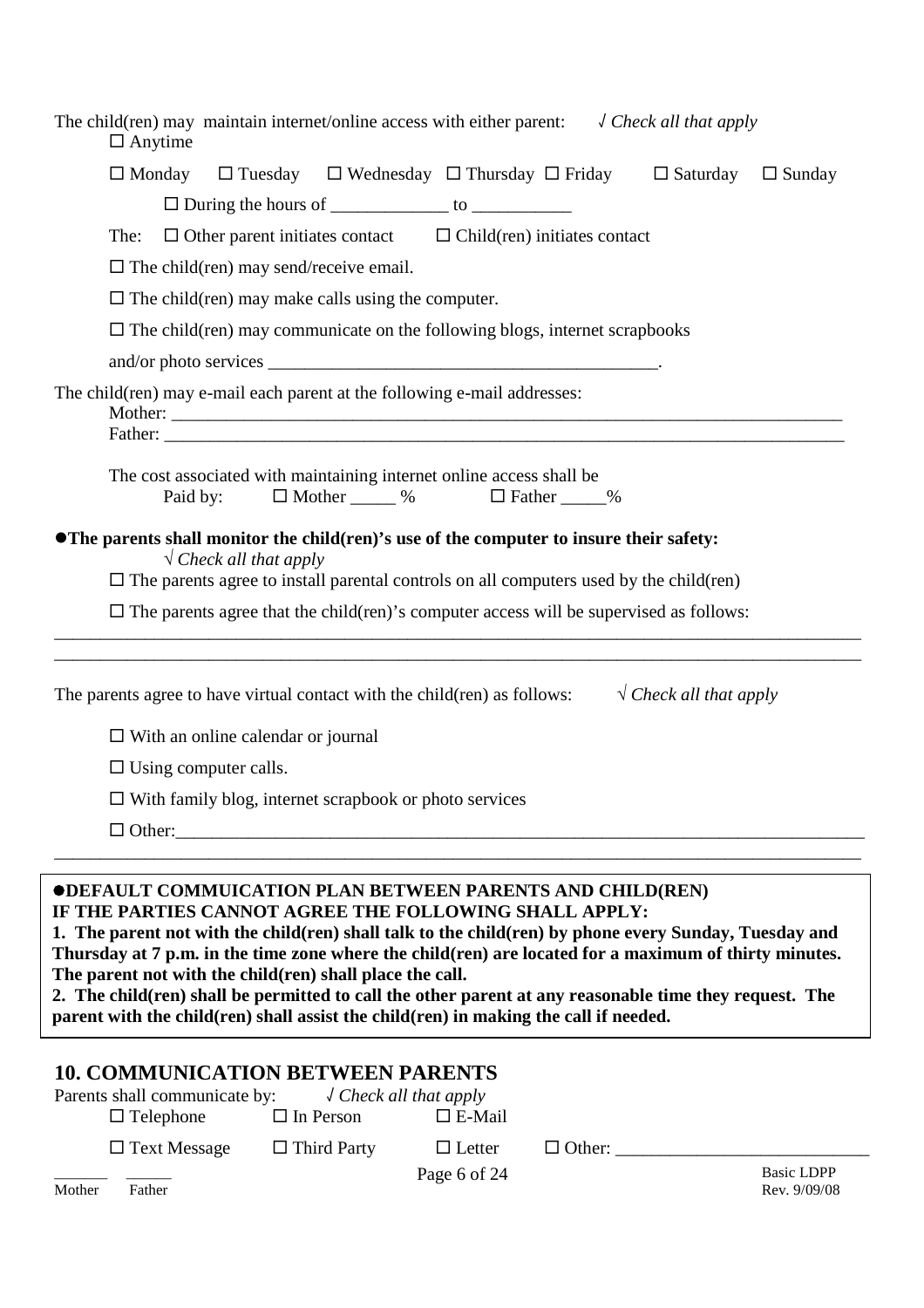| $\Box$ Anytime   |                                                      |                                           |                                                                                                                                                                                                                                                                                |                                   |               | The child(ren) may maintain internet/online access with either parent: $\sqrt{Check all that apply}$                                                                                                                                                                                                                     |  |
|------------------|------------------------------------------------------|-------------------------------------------|--------------------------------------------------------------------------------------------------------------------------------------------------------------------------------------------------------------------------------------------------------------------------------|-----------------------------------|---------------|--------------------------------------------------------------------------------------------------------------------------------------------------------------------------------------------------------------------------------------------------------------------------------------------------------------------------|--|
|                  |                                                      |                                           | $\Box$ During the hours of _______________ to ______________                                                                                                                                                                                                                   |                                   |               | $\Box$ Monday $\Box$ Tuesday $\Box$ Wednesday $\Box$ Thursday $\Box$ Friday $\Box$ Saturday $\Box$ Sunday                                                                                                                                                                                                                |  |
| The:             |                                                      |                                           | $\Box$ Other parent initiates contact $\Box$ Child(ren) initiates contact                                                                                                                                                                                                      |                                   |               |                                                                                                                                                                                                                                                                                                                          |  |
|                  |                                                      |                                           | $\Box$ The child(ren) may send/receive email.                                                                                                                                                                                                                                  |                                   |               |                                                                                                                                                                                                                                                                                                                          |  |
|                  |                                                      |                                           | $\Box$ The child(ren) may make calls using the computer.                                                                                                                                                                                                                       |                                   |               |                                                                                                                                                                                                                                                                                                                          |  |
|                  |                                                      |                                           | $\Box$ The child (ren) may communicate on the following blogs, internet scrapbooks                                                                                                                                                                                             |                                   |               |                                                                                                                                                                                                                                                                                                                          |  |
|                  |                                                      |                                           |                                                                                                                                                                                                                                                                                |                                   |               |                                                                                                                                                                                                                                                                                                                          |  |
|                  |                                                      |                                           | The child(ren) may e-mail each parent at the following e-mail addresses:                                                                                                                                                                                                       |                                   |               |                                                                                                                                                                                                                                                                                                                          |  |
|                  | Paid by:                                             |                                           | The cost associated with maintaining internet online access shall be<br>$\Box$ Mother ______ % $\Box$ Father _____%                                                                                                                                                            |                                   |               |                                                                                                                                                                                                                                                                                                                          |  |
|                  |                                                      | $\sqrt{\text{Check all that apply}}$      | • The parents shall monitor the child(ren)'s use of the computer to insure their safety:<br>$\Box$ The parents agree to install parental controls on all computers used by the child(ren)                                                                                      |                                   |               |                                                                                                                                                                                                                                                                                                                          |  |
|                  |                                                      |                                           |                                                                                                                                                                                                                                                                                |                                   |               | $\Box$ The parents agree that the child(ren)'s computer access will be supervised as follows:<br><u> 1989 - Johann Harry Harry Harry Harry Harry Harry Harry Harry Harry Harry Harry Harry Harry Harry Harry Harry</u>                                                                                                   |  |
|                  |                                                      |                                           |                                                                                                                                                                                                                                                                                |                                   |               | The parents agree to have virtual contact with the child(ren) as follows: $\sqrt{C\text{neck all that apply}}$                                                                                                                                                                                                           |  |
|                  |                                                      | $\Box$ With an online calendar or journal |                                                                                                                                                                                                                                                                                |                                   |               |                                                                                                                                                                                                                                                                                                                          |  |
|                  | $\Box$ Using computer calls.                         |                                           |                                                                                                                                                                                                                                                                                |                                   |               |                                                                                                                                                                                                                                                                                                                          |  |
|                  |                                                      |                                           | $\Box$ With family blog, internet scrapbook or photo services                                                                                                                                                                                                                  |                                   |               |                                                                                                                                                                                                                                                                                                                          |  |
|                  |                                                      |                                           | $\Box$ Other:                                                                                                                                                                                                                                                                  |                                   |               |                                                                                                                                                                                                                                                                                                                          |  |
|                  |                                                      |                                           | <b>ODEFAULT COMMUICATION PLAN BETWEEN PARENTS AND CHILD(REN)</b><br>IF THE PARTIES CANNOT AGREE THE FOLLOWING SHALL APPLY:<br>The parent not with the child(ren) shall place the call.<br>parent with the child(ren) shall assist the child(ren) in making the call if needed. |                                   |               | 1. The parent not with the child(ren) shall talk to the child(ren) by phone every Sunday, Tuesday and<br>Thursday at 7 p.m. in the time zone where the child(ren) are located for a maximum of thirty minutes.<br>2. The child(ren) shall be permitted to call the other parent at any reasonable time they request. The |  |
| $\Box$ Telephone | Parents shall communicate by:<br>$\Box$ Text Message |                                           | <b>10. COMMUNICATION BETWEEN PARENTS</b><br>$\sqrt$ Check all that apply<br>$\Box$ In Person<br>$\Box$ Third Party                                                                                                                                                             | $\square$ E-Mail<br>$\Box$ Letter | $\Box$ Other: |                                                                                                                                                                                                                                                                                                                          |  |

| _______<br>Mother | Father | Page 6 of 24 | <b>Basic LDPP</b><br>Rev. 9/09/08 |
|-------------------|--------|--------------|-----------------------------------|
|                   |        |              |                                   |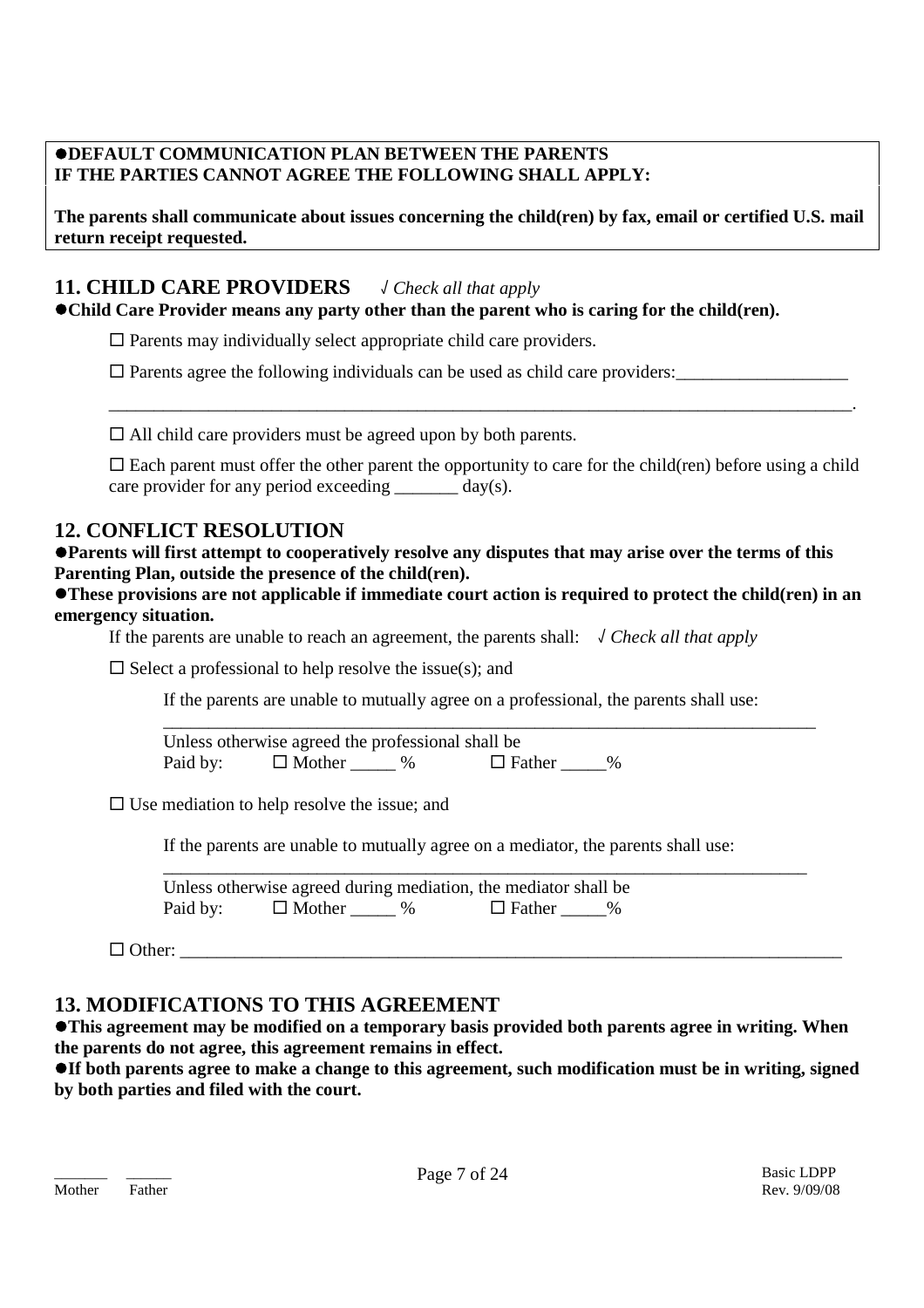### **DEFAULT COMMUNICATION PLAN BETWEEN THE PARENTS IF THE PARTIES CANNOT AGREE THE FOLLOWING SHALL APPLY:**

**The parents shall communicate about issues concerning the child(ren) by fax, email or certified U.S. mail return receipt requested.**

# **11. CHILD CARE PROVIDERS** √ *Check all that apply*

**Child Care Provider means any party other than the parent who is caring for the child(ren).**

 $\square$  Parents may individually select appropriate child care providers.

 $\square$  Parents agree the following individuals can be used as child care providers:

 $\Box$  All child care providers must be agreed upon by both parents.

 $\square$  Each parent must offer the other parent the opportunity to care for the child(ren) before using a child care provider for any period exceeding  $\frac{day(s)}{s}$ .

\_\_\_\_\_\_\_\_\_\_\_\_\_\_\_\_\_\_\_\_\_\_\_\_\_\_\_\_\_\_\_\_\_\_\_\_\_\_\_\_\_\_\_\_\_\_\_\_\_\_\_\_\_\_\_\_\_\_\_\_\_\_\_\_\_\_\_\_\_\_\_\_\_\_\_\_\_\_\_\_\_\_.

# **12. CONFLICT RESOLUTION**

**Parents will first attempt to cooperatively resolve any disputes that may arise over the terms of this Parenting Plan, outside the presence of the child(ren).**

**These provisions are not applicable if immediate court action is required to protect the child(ren) in an emergency situation.**

If the parents are unable to reach an agreement, the parents shall: √ *Check all that apply*

 $\square$  Select a professional to help resolve the issue(s); and

If the parents are unable to mutually agree on a professional, the parents shall use:

\_\_\_\_\_\_\_\_\_\_\_\_\_\_\_\_\_\_\_\_\_\_\_\_\_\_\_\_\_\_\_\_\_\_\_\_\_\_\_\_\_\_\_\_\_\_\_\_\_\_\_\_\_\_\_\_\_\_\_\_\_\_\_\_\_\_\_\_\_\_\_\_

Unless otherwise agreed the professional shall be Paid by:  $\Box$  Mother  $\Box$  %  $\Box$  Father  $\Box$  %

 $\square$  Use mediation to help resolve the issue; and

If the parents are unable to mutually agree on a mediator, the parents shall use:

\_\_\_\_\_\_\_\_\_\_\_\_\_\_\_\_\_\_\_\_\_\_\_\_\_\_\_\_\_\_\_\_\_\_\_\_\_\_\_\_\_\_\_\_\_\_\_\_\_\_\_\_\_\_\_\_\_\_\_\_\_\_\_\_\_\_\_\_\_\_\_ Unless otherwise agreed during mediation, the mediator shall be Paid by:  $\Box$  Mother  $\Box$  %  $\Box$  Father  $\Box$  %

 $\Box$  Other:

# **13. MODIFICATIONS TO THIS AGREEMENT**

**This agreement may be modified on a temporary basis provided both parents agree in writing. When the parents do not agree, this agreement remains in effect.**

**If both parents agree to make a change to this agreement, such modification must be in writing, signed by both parties and filed with the court.**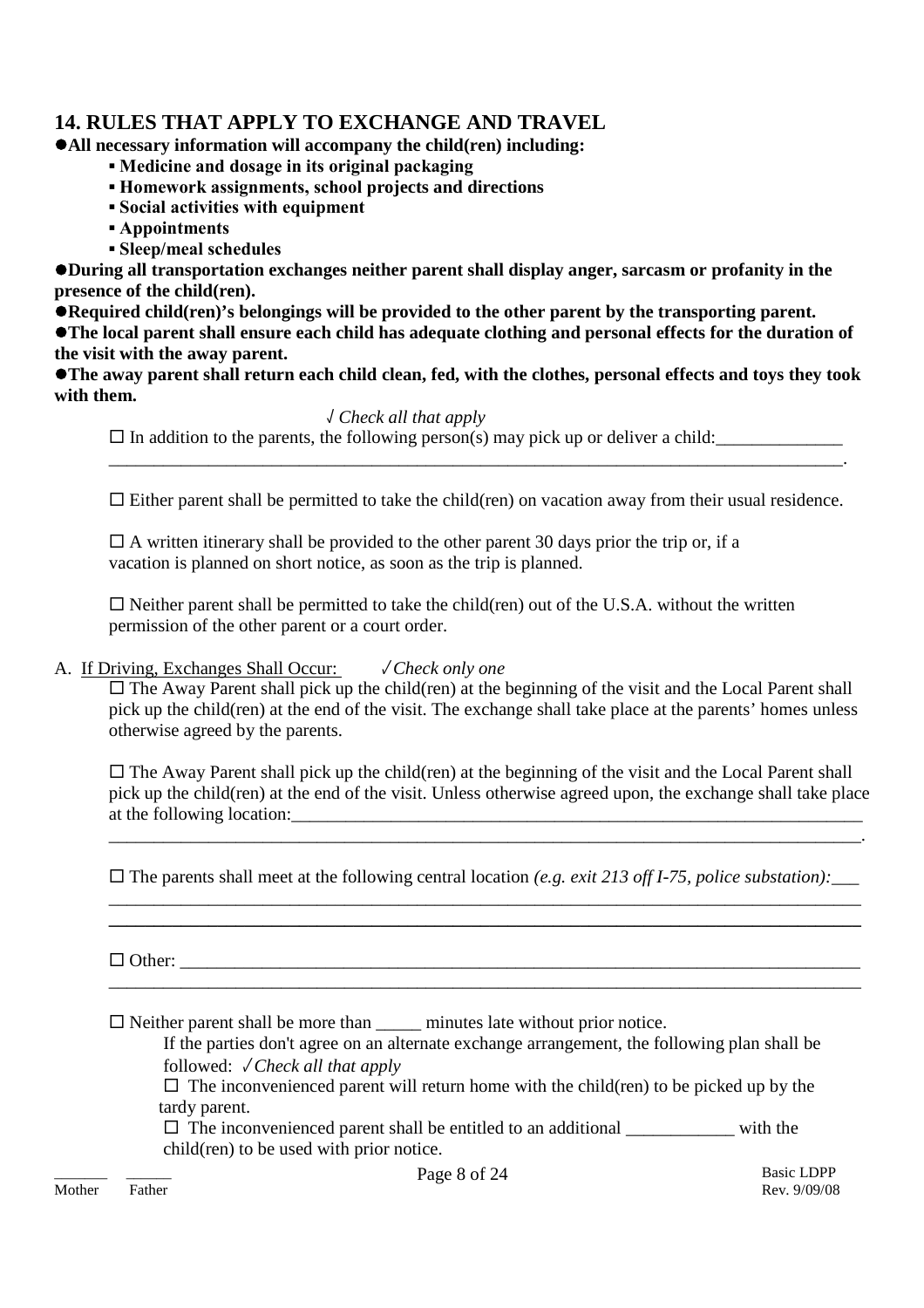# **14. RULES THAT APPLY TO EXCHANGE AND TRAVEL**

**All necessary information will accompany the child(ren) including:**

- **▪ Medicine and dosage in its original packaging**
- **▪ Homework assignments, school projects and directions**
- **▪ Social activities with equipment**
- **▪ Appointments**
- **▪ Sleep/meal schedules**

**During all transportation exchanges neither parent shall display anger, sarcasm or profanity in the presence of the child(ren).**

**Required child(ren)'s belongings will be provided to the other parent by the transporting parent.**

**The local parent shall ensure each child has adequate clothing and personal effects for the duration of the visit with the away parent.**

**The away parent shall return each child clean, fed, with the clothes, personal effects and toys they took with them.**

### √ *Check all that apply*

 $\Box$  In addition to the parents, the following person(s) may pick up or deliver a child:

 $\Box$  Either parent shall be permitted to take the child(ren) on vacation away from their usual residence.

 $\Box$  A written itinerary shall be provided to the other parent 30 days prior the trip or, if a vacation is planned on short notice, as soon as the trip is planned.

 $\Box$  Neither parent shall be permitted to take the child(ren) out of the U.S.A. without the written permission of the other parent or a court order.

### A. If Driving, Exchanges Shall Occur: √ *Check only one*

 $\Box$  The Away Parent shall pick up the child(ren) at the beginning of the visit and the Local Parent shall pick up the child(ren) at the end of the visit. The exchange shall take place at the parents' homes unless otherwise agreed by the parents.

 $\Box$  The Away Parent shall pick up the child(ren) at the beginning of the visit and the Local Parent shall pick up the child(ren) at the end of the visit. Unless otherwise agreed upon, the exchange shall take place at the following location:

\_\_\_\_\_\_\_\_\_\_\_\_\_\_\_\_\_\_\_\_\_\_\_\_\_\_\_\_\_\_\_\_\_\_\_\_\_\_\_\_\_\_\_\_\_\_\_\_\_\_\_\_\_\_\_\_\_\_\_\_\_\_\_\_\_\_\_\_\_\_\_\_\_\_\_\_\_\_\_\_\_\_\_.

 $\square$  The parents shall meet at the following central location *(e.g. exit 213 off I-75, police substation)*: \_\_\_\_\_\_\_\_\_\_\_\_\_\_\_\_\_\_\_\_\_\_\_\_\_\_\_\_\_\_\_\_\_\_\_\_\_\_\_\_\_\_\_\_\_\_\_\_\_\_\_\_\_\_\_\_\_\_\_\_\_\_\_\_\_\_\_\_\_\_\_\_\_\_\_\_\_\_\_\_\_\_\_

**\_\_\_\_\_\_\_\_\_\_\_\_\_\_\_\_\_\_\_\_\_\_\_\_\_\_\_\_\_\_\_\_\_\_\_\_\_\_\_\_\_\_\_\_\_\_\_\_\_\_\_\_\_\_\_\_\_\_\_\_\_\_\_\_\_\_\_\_\_\_\_\_\_\_\_\_\_\_\_\_\_\_\_**

\_\_\_\_\_\_\_\_\_\_\_\_\_\_\_\_\_\_\_\_\_\_\_\_\_\_\_\_\_\_\_\_\_\_\_\_\_\_\_\_\_\_\_\_\_\_\_\_\_\_\_\_\_\_\_\_\_\_\_\_\_\_\_\_\_\_\_\_\_\_\_\_\_\_\_\_\_\_\_\_\_\_\_

 $\Box$  Other:

 $\Box$  Neither parent shall be more than  $\Box$  minutes late without prior notice.

If the parties don't agree on an alternate exchange arrangement, the following plan shall be followed: √ *Check all that apply*

 $\Box$  The inconvenienced parent will return home with the child(ren) to be picked up by the tardy parent.

 $\Box$  The inconvenienced parent shall be entitled to an additional \_\_\_\_\_\_\_\_\_\_\_\_\_ with the child(ren) to be used with prior notice.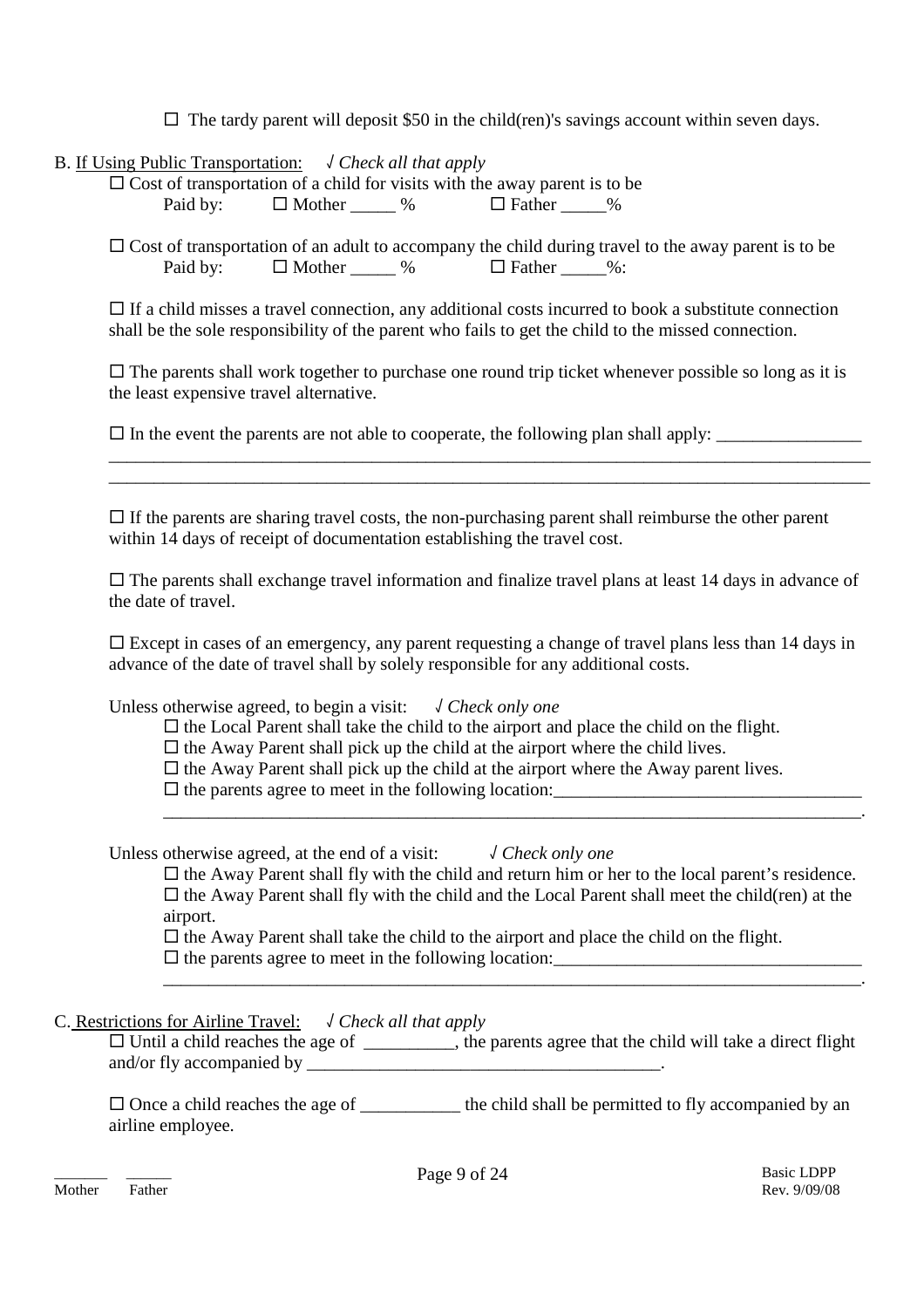$\Box$  The tardy parent will deposit \$50 in the child(ren)'s savings account within seven days.

B. If Using Public Transportation: √ *Check all that apply*

 $\overline{\Box}$  Cost of transportation of a child for visits with the away parent is to be Paid by:  $\Box$  Mother  $\Box$  %  $\Box$  Father  $\Box$  %

 $\Box$  Cost of transportation of an adult to accompany the child during travel to the away parent is to be Paid by:  $\Box$  Mother  $\%\Box$   $\Box$  Father  $\%\Box$ :

 $\Box$  If a child misses a travel connection, any additional costs incurred to book a substitute connection shall be the sole responsibility of the parent who fails to get the child to the missed connection.

 $\Box$  The parents shall work together to purchase one round trip ticket whenever possible so long as it is the least expensive travel alternative.

\_\_\_\_\_\_\_\_\_\_\_\_\_\_\_\_\_\_\_\_\_\_\_\_\_\_\_\_\_\_\_\_\_\_\_\_\_\_\_\_\_\_\_\_\_\_\_\_\_\_\_\_\_\_\_\_\_\_\_\_\_\_\_\_\_\_\_\_\_\_\_\_\_\_\_\_\_\_\_\_\_\_\_\_ \_\_\_\_\_\_\_\_\_\_\_\_\_\_\_\_\_\_\_\_\_\_\_\_\_\_\_\_\_\_\_\_\_\_\_\_\_\_\_\_\_\_\_\_\_\_\_\_\_\_\_\_\_\_\_\_\_\_\_\_\_\_\_\_\_\_\_\_\_\_\_\_\_\_\_\_\_\_\_\_\_\_\_\_

 $\square$  In the event the parents are not able to cooperate, the following plan shall apply:

 $\Box$  If the parents are sharing travel costs, the non-purchasing parent shall reimburse the other parent within 14 days of receipt of documentation establishing the travel cost.

 $\Box$  The parents shall exchange travel information and finalize travel plans at least 14 days in advance of the date of travel.

 $\square$  Except in cases of an emergency, any parent requesting a change of travel plans less than 14 days in advance of the date of travel shall by solely responsible for any additional costs.

Unless otherwise agreed, to begin a visit: √ *Check only one*

 $\Box$  the Local Parent shall take the child to the airport and place the child on the flight.

 $\Box$  the Away Parent shall pick up the child at the airport where the child lives.

 $\Box$  the Away Parent shall pick up the child at the airport where the Away parent lives.

 $\square$  the parents agree to meet in the following location:

Unless otherwise agreed, at the end of a visit: √ *Check only one*

 $\Box$  the Away Parent shall fly with the child and return him or her to the local parent's residence.  $\Box$  the Away Parent shall fly with the child and the Local Parent shall meet the child(ren) at the airport.

\_\_\_\_\_\_\_\_\_\_\_\_\_\_\_\_\_\_\_\_\_\_\_\_\_\_\_\_\_\_\_\_\_\_\_\_\_\_\_\_\_\_\_\_\_\_\_\_\_\_\_\_\_\_\_\_\_\_\_\_\_\_\_\_\_\_\_\_\_\_\_\_\_\_\_\_\_.

\_\_\_\_\_\_\_\_\_\_\_\_\_\_\_\_\_\_\_\_\_\_\_\_\_\_\_\_\_\_\_\_\_\_\_\_\_\_\_\_\_\_\_\_\_\_\_\_\_\_\_\_\_\_\_\_\_\_\_\_\_\_\_\_\_\_\_\_\_\_\_\_\_\_\_\_\_.

 $\Box$  the Away Parent shall take the child to the airport and place the child on the flight.  $\square$  the parents agree to meet in the following location:

C. Restrictions for Airline Travel: √ *Check all that apply*

 $\Box$  Until a child reaches the age of \_\_\_\_\_\_\_\_, the parents agree that the child will take a direct flight and/or fly accompanied by

 $\Box$  Once a child reaches the age of \_\_\_\_\_\_\_\_\_\_\_\_ the child shall be permitted to fly accompanied by an airline employee.

Mother Father Rev. 9/09/08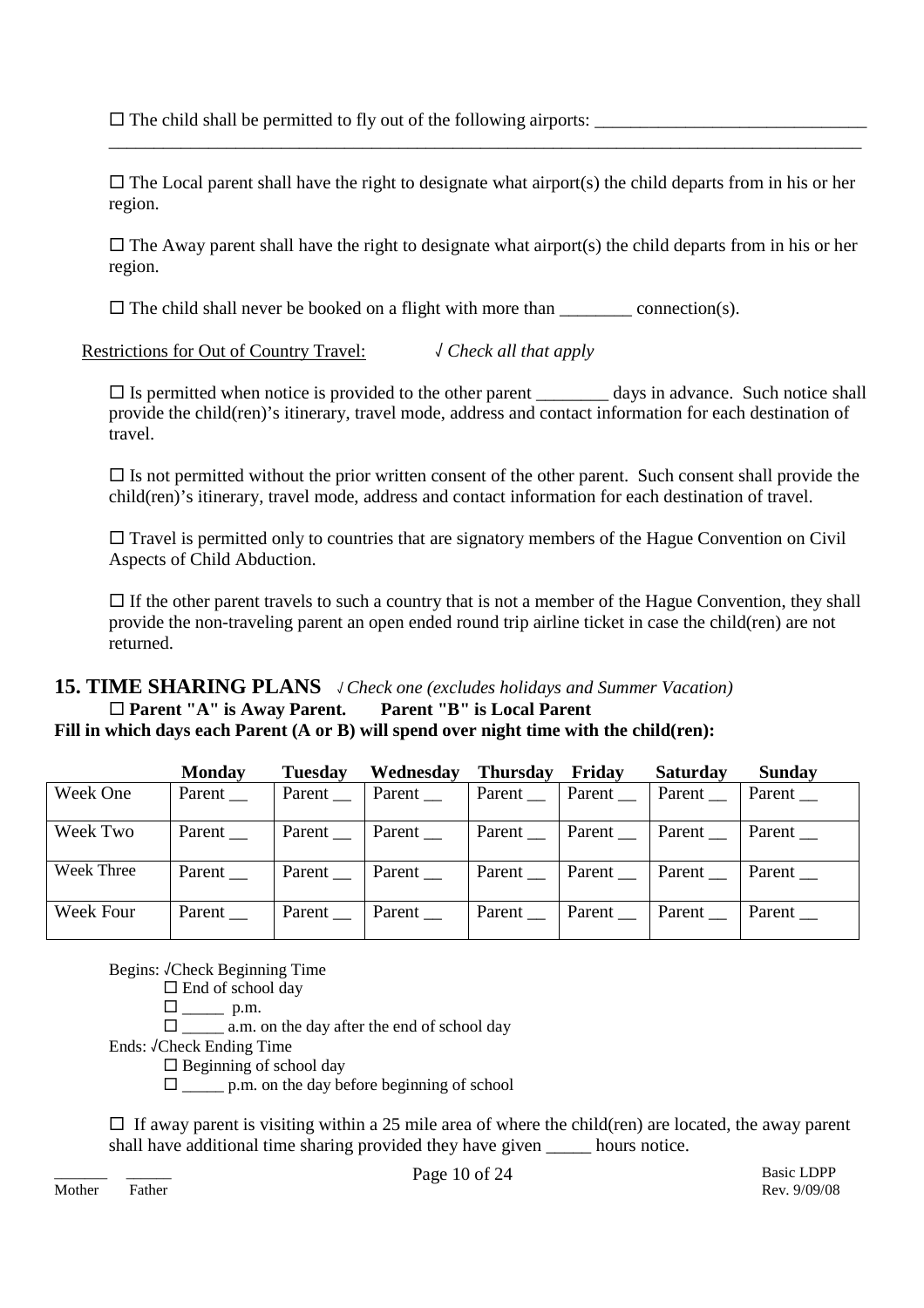$\square$  The child shall be permitted to fly out of the following airports:  $\square$ 

 $\Box$  The Local parent shall have the right to designate what airport(s) the child departs from in his or her region.

\_\_\_\_\_\_\_\_\_\_\_\_\_\_\_\_\_\_\_\_\_\_\_\_\_\_\_\_\_\_\_\_\_\_\_\_\_\_\_\_\_\_\_\_\_\_\_\_\_\_\_\_\_\_\_\_\_\_\_\_\_\_\_\_\_\_\_\_\_\_\_\_\_\_\_\_\_\_\_\_\_\_\_

 $\Box$  The Away parent shall have the right to designate what airport(s) the child departs from in his or her region.

 $\square$  The child shall never be booked on a flight with more than \_\_\_\_\_\_\_\_\_ connection(s).

Restrictions for Out of Country Travel: √ *Check all that apply*

 $\square$  Is permitted when notice is provided to the other parent  $\_\_\_\_\_$  days in advance. Such notice shall provide the child(ren)'s itinerary, travel mode, address and contact information for each destination of travel.

 $\Box$  Is not permitted without the prior written consent of the other parent. Such consent shall provide the child(ren)'s itinerary, travel mode, address and contact information for each destination of travel.

 $\Box$  Travel is permitted only to countries that are signatory members of the Hague Convention on Civil Aspects of Child Abduction.

 $\Box$  If the other parent travels to such a country that is not a member of the Hague Convention, they shall provide the non-traveling parent an open ended round trip airline ticket in case the child(ren) are not returned.

# **15. TIME SHARING PLANS** √*Check one (excludes holidays and Summer Vacation)* **Parent "A" is Away Parent. Parent "B" is Local Parent**

### **Fill in which days each Parent (A or B) will spend over night time with the child(ren):**

|            | <b>Monday</b> | <b>Tuesday</b> | Wednesday | <b>Thursday</b>                                      | Friday    | <b>Saturday</b> | Sunday    |
|------------|---------------|----------------|-----------|------------------------------------------------------|-----------|-----------------|-----------|
| Week One   | Parent __     | Parent         | Parent    | Parent __                                            | Parent __ | Parent          | Parent __ |
| Week Two   | Parent $\_\_$ | Parent Parent  |           | $\vert$ Parent $\vert$ Parent $\vert$ Parent $\vert$ |           |                 | Parent __ |
| Week Three | Parent        | Parent         | Parent    | Parent                                               | Parent    | Parent          | Parent    |
| Week Four  | Parent $\_\_$ | Parent __      | Parent    | Parent                                               | Parent __ | Parent          | Parent    |

Begins: √Check Beginning Time

 $\square$  End of school day

 $\square$  p.m.

 $\Box$  \_\_\_\_\_\_\_ a.m. on the day after the end of school day

Ends: √Check Ending Time

 $\Box$  Beginning of school day

 $\square$  p.m. on the day before beginning of school

 $\Box$  If away parent is visiting within a 25 mile area of where the child(ren) are located, the away parent shall have additional time sharing provided they have given hours notice.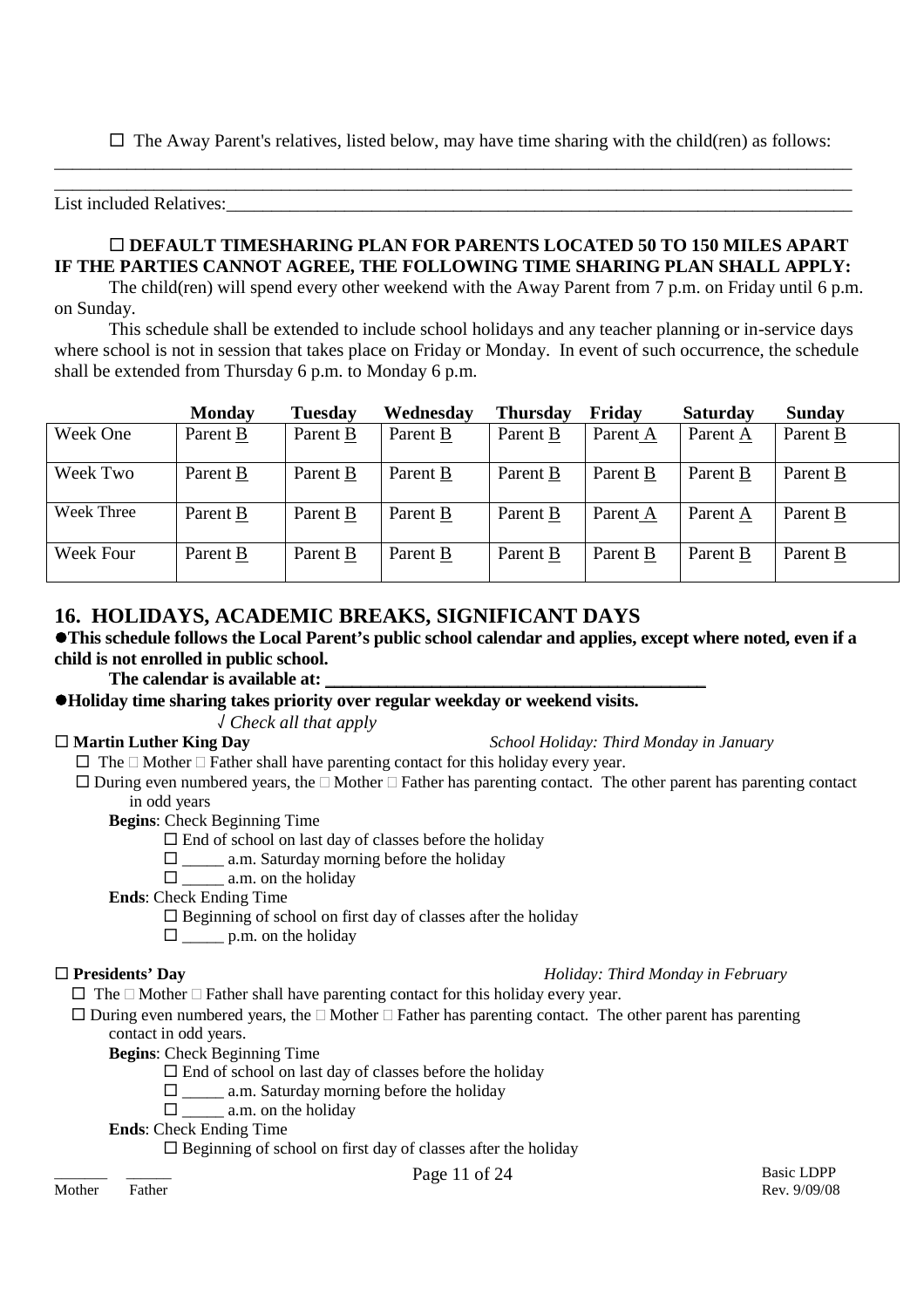$\Box$  The Away Parent's relatives, listed below, may have time sharing with the child(ren) as follows:

List included Relatives:

### **DEFAULT TIMESHARING PLAN FOR PARENTS LOCATED 50 TO 150 MILES APART IF THE PARTIES CANNOT AGREE, THE FOLLOWING TIME SHARING PLAN SHALL APPLY:**

\_\_\_\_\_\_\_\_\_\_\_\_\_\_\_\_\_\_\_\_\_\_\_\_\_\_\_\_\_\_\_\_\_\_\_\_\_\_\_\_\_\_\_\_\_\_\_\_\_\_\_\_\_\_\_\_\_\_\_\_\_\_\_\_\_\_\_\_\_\_\_\_\_\_\_\_\_\_\_\_\_\_\_\_\_\_\_\_ \_\_\_\_\_\_\_\_\_\_\_\_\_\_\_\_\_\_\_\_\_\_\_\_\_\_\_\_\_\_\_\_\_\_\_\_\_\_\_\_\_\_\_\_\_\_\_\_\_\_\_\_\_\_\_\_\_\_\_\_\_\_\_\_\_\_\_\_\_\_\_\_\_\_\_\_\_\_\_\_\_\_\_\_\_\_\_\_

The child(ren) will spend every other weekend with the Away Parent from 7 p.m. on Friday until 6 p.m. on Sunday.

This schedule shall be extended to include school holidays and any teacher planning or in-service days where school is not in session that takes place on Friday or Monday. In event of such occurrence, the schedule shall be extended from Thursday 6 p.m. to Monday 6 p.m.

|            | <b>Monday</b> | <b>Tuesday</b> | Wednesday | <b>Thursday</b> | Friday   | Saturday | <b>Sunday</b> |
|------------|---------------|----------------|-----------|-----------------|----------|----------|---------------|
| Week One   | Parent B      | Parent B       | Parent B  | Parent B        | Parent A | Parent A | Parent B      |
| Week Two   | Parent B      | Parent B       | Parent B  | Parent B        | Parent B | Parent B | Parent B      |
| Week Three | Parent B      | Parent B       | Parent B  | Parent B        | Parent A | Parent A | Parent B      |
| Week Four  | Parent B      | Parent B       | Parent B  | Parent B        | Parent B | Parent B | Parent B      |

# **16. HOLIDAYS, ACADEMIC BREAKS, SIGNIFICANT DAYS**

### **This schedule follows the Local Parent's public school calendar and applies, except where noted, even if a child is not enrolled in public school.**

The calendar is available at:

### **Holiday time sharing takes priority over regular weekday or weekend visits.**

√ *Check all that apply*

**Martin Luther King Day** *School Holiday: Third Monday in January*

- $\Box$  The  $\Box$  Mother  $\Box$  Father shall have parenting contact for this holiday every year.
- $\Box$  During even numbered years, the  $\Box$  Mother  $\Box$  Father has parenting contact. The other parent has parenting contact in odd years

**Begins**: Check Beginning Time

- $\square$  End of school on last day of classes before the holiday
- $\Box$  a.m. Saturday morning before the holiday
- $\Box$  a.m. on the holiday

**Ends**: Check Ending Time

 $\square$  Beginning of school on first day of classes after the holiday

 $\square$  p.m. on the holiday

### **Presidents' Day** *Holiday: Third Monday in February*

 $\Box$  The  $\Box$  Mother  $\Box$  Father shall have parenting contact for this holiday every year.

 $\Box$  During even numbered years, the  $\Box$  Mother  $\Box$  Father has parenting contact. The other parent has parenting contact in odd years.

**Begins**: Check Beginning Time

- $\square$  End of school on last day of classes before the holiday
- $\square$  \_\_\_\_\_\_ a.m. Saturday morning before the holiday
- $\square$  a.m. on the holiday

**Ends**: Check Ending Time

 $\square$  Beginning of school on first day of classes after the holiday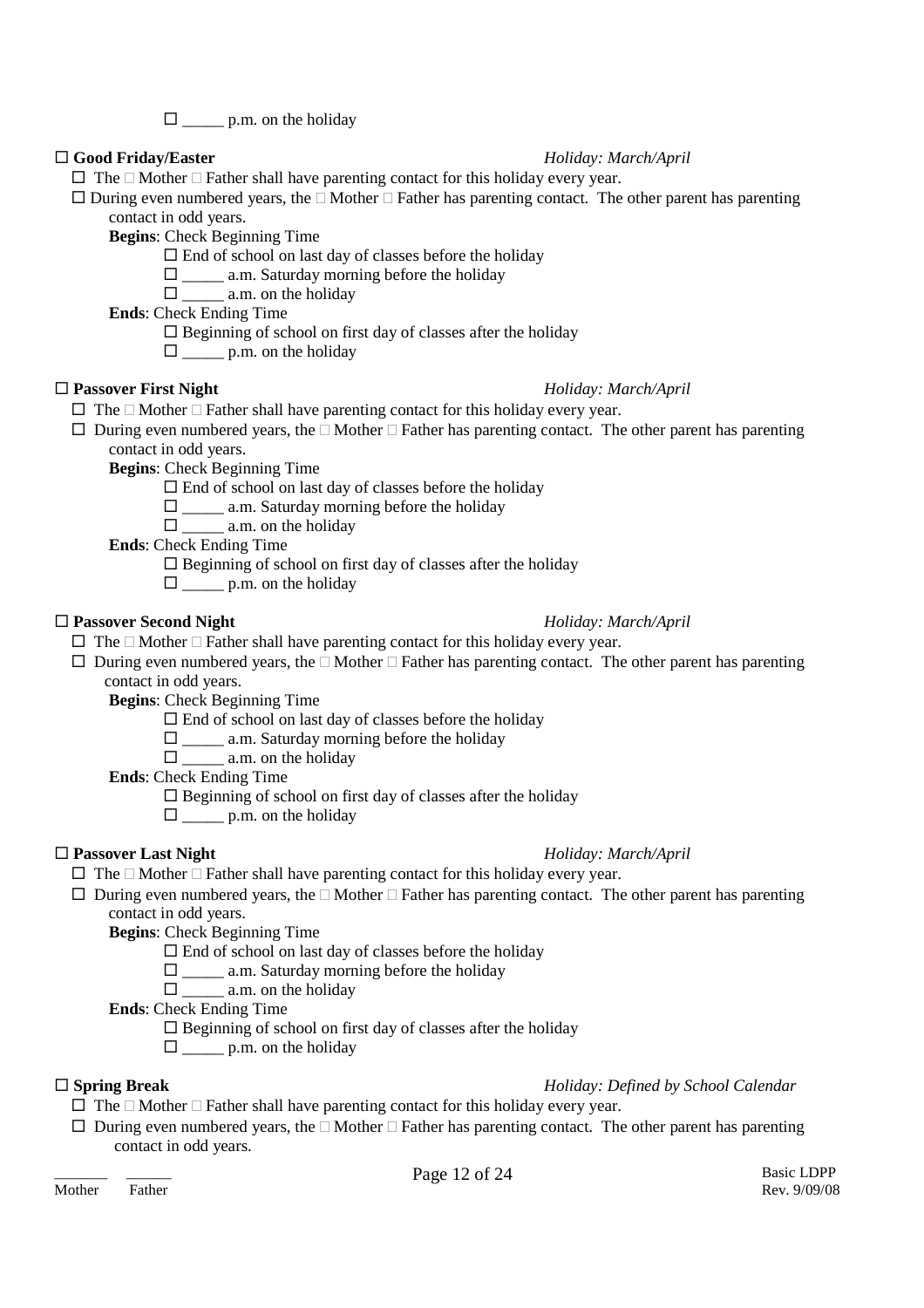$\square$  p.m. on the holiday

### **Good Friday/Easter** *Holiday: March/April*

- $\Box$  The  $\Box$  Mother  $\Box$  Father shall have parenting contact for this holiday every year.
- $\Box$  During even numbered years, the  $\Box$  Mother  $\Box$  Father has parenting contact. The other parent has parenting contact in odd years.

**Begins**: Check Beginning Time

- $\square$  End of school on last day of classes before the holiday
- $\square$  \_\_\_\_\_\_ a.m. Saturday morning before the holiday

 $\square$  \_\_\_\_\_\_\_ a.m. on the holiday

**Ends**: Check Ending Time

 $\square$  Beginning of school on first day of classes after the holiday

 $\Box$  p.m. on the holiday

### **Passover First Night** *Holiday: March/April*

- $\Box$  The  $\Box$  Mother  $\Box$  Father shall have parenting contact for this holiday every year.
- $\Box$  During even numbered years, the  $\Box$  Mother  $\Box$  Father has parenting contact. The other parent has parenting contact in odd years.

**Begins**: Check Beginning Time

- $\square$  End of school on last day of classes before the holiday
- $\square$  \_\_\_\_\_ a.m. Saturday morning before the holiday
- $\square$  \_\_\_\_\_\_\_ a.m. on the holiday

**Ends**: Check Ending Time

- $\square$  Beginning of school on first day of classes after the holiday
- $\Box$  p.m. on the holiday

### **Passover Second Night** *Holiday: March/April*

- $\Box$  The  $\Box$  Mother  $\Box$  Father shall have parenting contact for this holiday every year.
- $\Box$  During even numbered years, the  $\Box$  Mother  $\Box$  Father has parenting contact. The other parent has parenting contact in odd years.

**Begins**: Check Beginning Time

- $\square$  End of school on last day of classes before the holiday
- $\square$  \_\_\_\_\_\_ a.m. Saturday morning before the holiday
- $\square$  a.m. on the holiday

**Ends**: Check Ending Time

- $\square$  Beginning of school on first day of classes after the holiday
- $\square$  p.m. on the holiday

### **Passover Last Night** *Holiday: March/April*

- $\Box$  The  $\Box$  Mother  $\Box$  Father shall have parenting contact for this holiday every year.
- $\Box$  During even numbered years, the  $\Box$  Mother  $\Box$  Father has parenting contact. The other parent has parenting contact in odd years.

**Begins**: Check Beginning Time

- $\square$  End of school on last day of classes before the holiday
- $\square$  \_\_\_\_\_ a.m. Saturday morning before the holiday
- $\Box$  a.m. on the holiday

**Ends**: Check Ending Time

- $\square$  Beginning of school on first day of classes after the holiday
- $\square$  p.m. on the holiday

### **Spring Break** *Holiday: Defined by School Calendar*

- $\Box$  The  $\Box$  Mother  $\Box$  Father shall have parenting contact for this holiday every year.
- $\Box$  During even numbered years, the  $\Box$  Mother  $\Box$  Father has parenting contact. The other parent has parenting contact in odd years.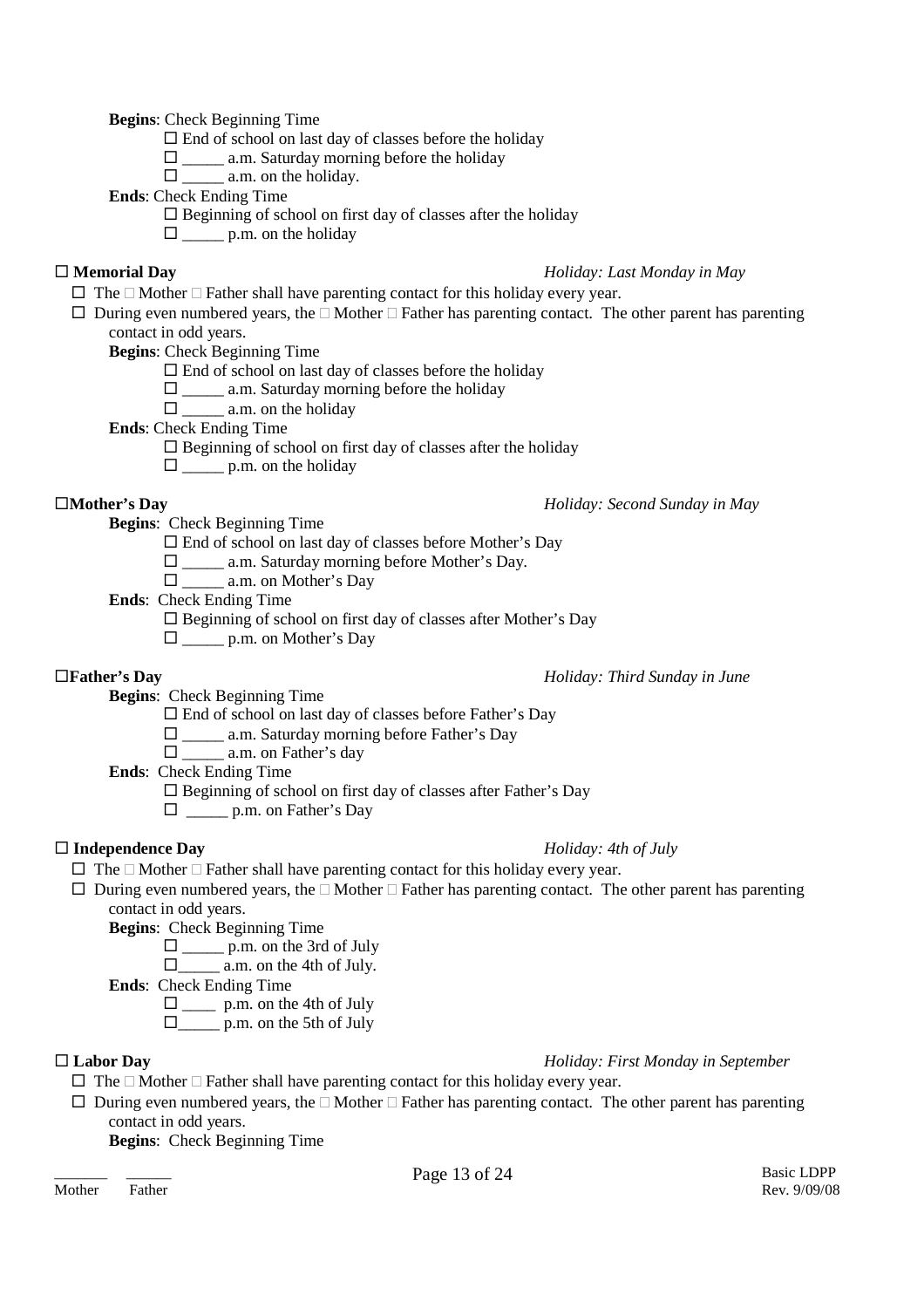**Begins**: Check Beginning Time

 $\square$  End of school on last day of classes before the holiday

 $\square$  \_\_\_\_\_ a.m. Saturday morning before the holiday

 $\Box$  a.m. on the holiday.

**Ends**: Check Ending Time

 $\square$  Beginning of school on first day of classes after the holiday

 $\Box$  p.m. on the holiday

### **Memorial Day** *Holiday: Last Monday in May*

 $\Box$  The  $\Box$  Mother  $\Box$  Father shall have parenting contact for this holiday every year.

 $\Box$  During even numbered years, the  $\Box$  Mother  $\Box$  Father has parenting contact. The other parent has parenting contact in odd years.

**Begins**: Check Beginning Time

- $\square$  End of school on last day of classes before the holiday
- $\square$  \_\_\_\_\_\_ a.m. Saturday morning before the holiday
- $\Box$  a.m. on the holiday

**Ends**: Check Ending Time

- $\square$  Beginning of school on first day of classes after the holiday
- $\square$  p.m. on the holiday

### **Mother's Day** *Holiday: Second Sunday in May*

**Begins**: Check Beginning Time

End of school on last day of classes before Mother's Day

 $\Box$  a.m. Saturday morning before Mother's Day.

\_\_\_\_\_ a.m. on Mother's Day

**Ends**: Check Ending Time

 $\square$  Beginning of school on first day of classes after Mother's Day

 $\Box$  p.m. on Mother's Day

### **Father's Day** *Holiday: Third Sunday in June*

**Begins**: Check Beginning Time

 $\square$  End of school on last day of classes before Father's Day

 $\square$  \_\_\_\_\_\_ a.m. Saturday morning before Father's Day

□ \_\_\_\_\_\_ a.m. on Father's day

**Ends**: Check Ending Time

 $\square$  Beginning of school on first day of classes after Father's Day

 $\Box$  p.m. on Father's Day

### **Independence Day** *Holiday: 4th of July*

- $\Box$  The  $\Box$  Mother  $\Box$  Father shall have parenting contact for this holiday every year.
- $\Box$  During even numbered years, the  $\Box$  Mother  $\Box$  Father has parenting contact. The other parent has parenting contact in odd years.
	- **Begins**: Check Beginning Time
		- $\Box$  p.m. on the 3rd of July
		- $\Box$  a.m. on the 4th of July.

**Ends**: Check Ending Time

- $\Box$  p.m. on the 4th of July
- $\Box$  p.m. on the 5th of July

### **Labor Day** *Holiday: First Monday in September*

- $\Box$  The  $\Box$  Mother  $\Box$  Father shall have parenting contact for this holiday every year.
- $\Box$  During even numbered years, the  $\Box$  Mother  $\Box$  Father has parenting contact. The other parent has parenting contact in odd years.

**Begins**: Check Beginning Time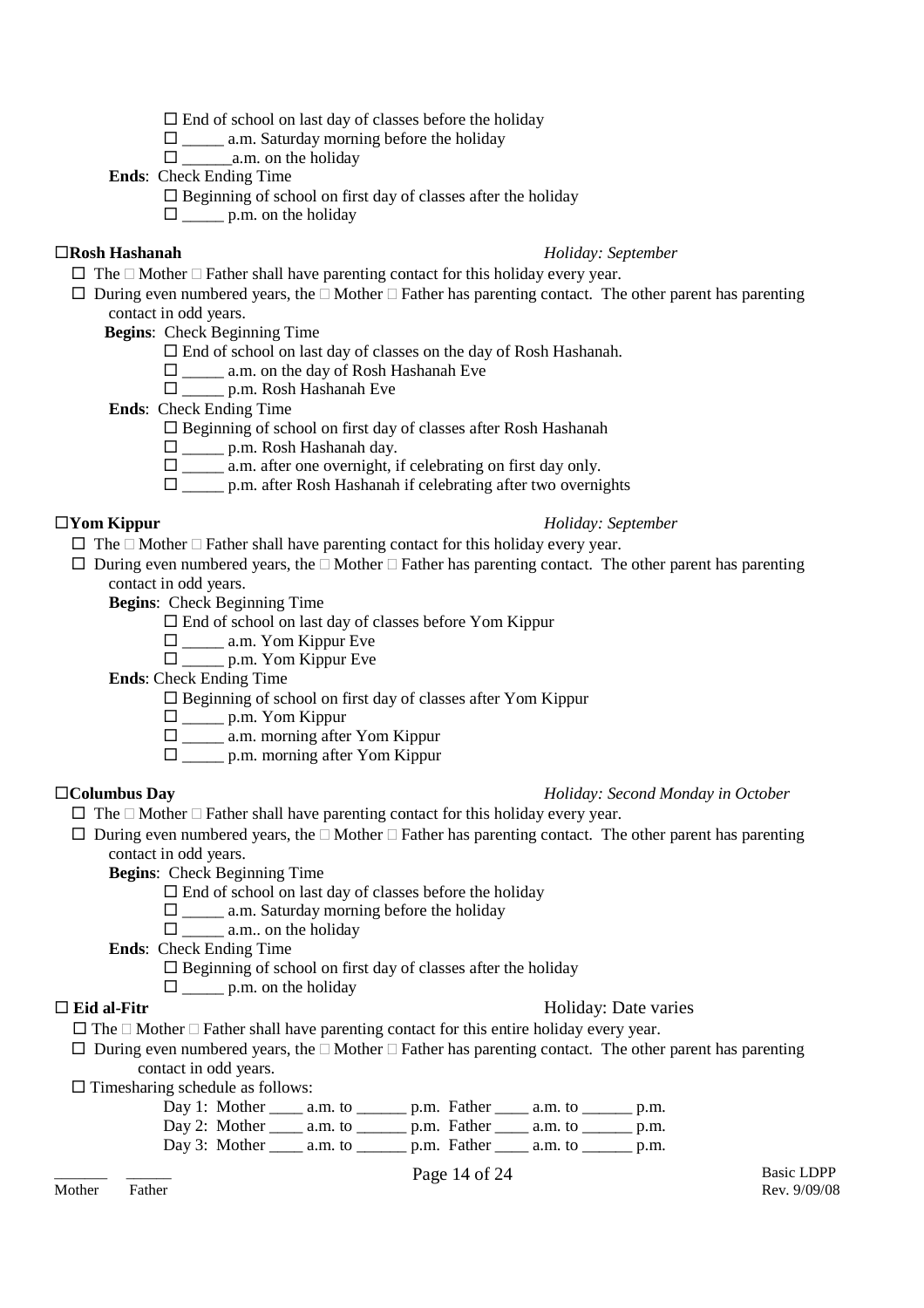$\square$  End of school on last day of classes before the holiday

 $\square$  \_\_\_\_\_\_ a.m. Saturday morning before the holiday

\_\_\_\_\_\_a.m. on the holiday

**Ends**: Check Ending Time

 $\square$  Beginning of school on first day of classes after the holiday

 $\Box$  p.m. on the holiday

### **Rosh Hashanah** *Holiday: September*

- $\Box$  The  $\Box$  Mother  $\Box$  Father shall have parenting contact for this holiday every year.
- $\Box$  During even numbered years, the  $\Box$  Mother  $\Box$  Father has parenting contact. The other parent has parenting contact in odd years.

**Begins**: Check Beginning Time

- $\square$  End of school on last day of classes on the day of Rosh Hashanah.
- $\square$  \_\_\_\_\_ a.m. on the day of Rosh Hashanah Eve
- \_\_\_\_\_ p.m. Rosh Hashanah Eve

**Ends**: Check Ending Time

 $\square$  Beginning of school on first day of classes after Rosh Hashanah

- \_\_\_\_\_ p.m. Rosh Hashanah day.
- $\square$  \_\_\_\_\_ a.m. after one overnight, if celebrating on first day only.
- $\Box$  p.m. after Rosh Hashanah if celebrating after two overnights

### **Yom Kippur** *Holiday: September*

- $\Box$  The  $\Box$  Mother  $\Box$  Father shall have parenting contact for this holiday every year.
- $\Box$  During even numbered years, the  $\Box$  Mother  $\Box$  Father has parenting contact. The other parent has parenting contact in odd years.

**Begins**: Check Beginning Time

- $\square$  End of school on last day of classes before Yom Kippur
- \_\_\_\_\_ a.m. Yom Kippur Eve
- $\square$  p.m. Yom Kippur Eve

**Ends**: Check Ending Time

- $\square$  Beginning of school on first day of classes after Yom Kippur
	- \_\_\_\_\_ p.m. Yom Kippur
	- $\square$  \_\_\_\_\_ a.m. morning after Yom Kippur
	- $\Box$  p.m. morning after Yom Kippur

### **Columbus Day** *Holiday: Second Monday in October*

- $\Box$  The  $\Box$  Mother  $\Box$  Father shall have parenting contact for this holiday every year.
- $\Box$  During even numbered years, the  $\Box$  Mother  $\Box$  Father has parenting contact. The other parent has parenting contact in odd years.

**Begins**: Check Beginning Time

- $\square$  End of school on last day of classes before the holiday
- $\Box$  a.m. Saturday morning before the holiday
- $\Box$  a.m., on the holiday

**Ends**: Check Ending Time

 $\square$  Beginning of school on first day of classes after the holiday

 $\Box$  p.m. on the holiday

### **Eid al-Fitr** Holiday: Date varies

- $\Box$  The  $\Box$  Mother  $\Box$  Father shall have parenting contact for this entire holiday every year.
- $\Box$  During even numbered years, the  $\Box$  Mother  $\Box$  Father has parenting contact. The other parent has parenting contact in odd years.

 $\square$  Timesharing schedule as follows:

| Day 1: Mother          | a.m. to                                                                                  | $\_$ p.m. Father $\_$ | a.m. to                                     | p.m. |
|------------------------|------------------------------------------------------------------------------------------|-----------------------|---------------------------------------------|------|
|                        | Day 2: Mother $\_\_\_\$ a.m. to $\_\_\_\$ p.m. Father $\_\_\_\$ a.m. to $\_\_\_\_\$ p.m. |                       |                                             |      |
| Day 3: Mother $\qquad$ | a.m. to                                                                                  |                       | p.m. Father _______ a.m. to __________ p.m. |      |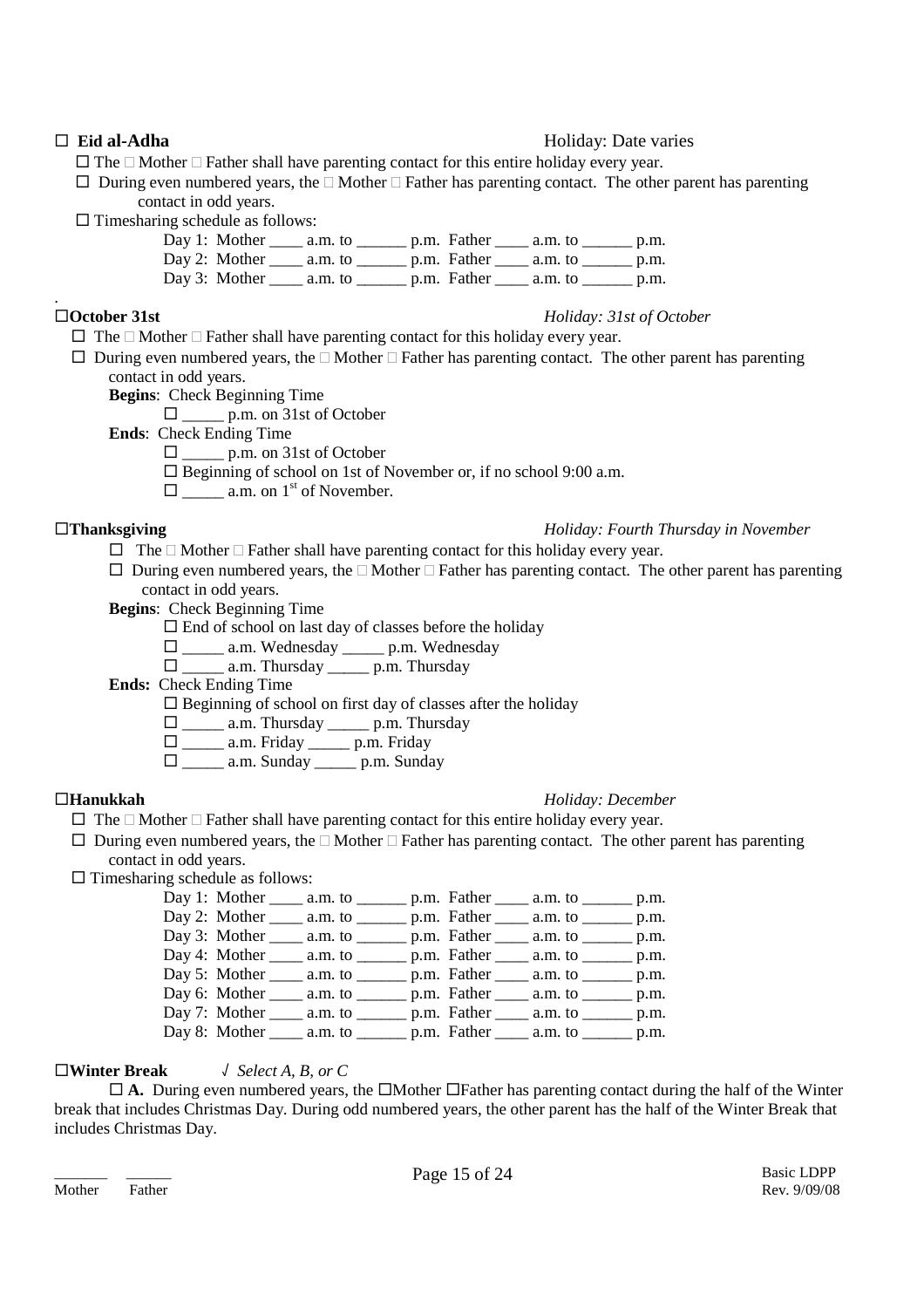### **Eid al-Adha** Holiday: Date varies

 $\Box$  The  $\Box$  Mother  $\Box$  Father shall have parenting contact for this entire holiday every year.

 $\Box$  During even numbered years, the  $\Box$  Mother  $\Box$  Father has parenting contact. The other parent has parenting contact in odd years.

- $\square$  Timesharing schedule as follows:
	- Day 1: Mother \_\_\_\_\_ a.m. to \_\_\_\_\_\_\_ p.m. Father \_\_\_\_\_ a.m. to \_\_\_\_\_\_\_ p.m. Day 2: Mother \_\_\_\_\_ a.m. to \_\_\_\_\_\_\_ p.m. Father \_\_\_\_\_ a.m. to \_\_\_\_\_\_\_ p.m.

Day 3: Mother \_\_\_\_\_ a.m. to \_\_\_\_\_\_\_ p.m. Father \_\_\_\_\_ a.m. to \_\_\_\_\_\_\_ p.m.

.

### **October 31st** *Holiday: 31st of October*

- $\Box$  The  $\Box$  Mother  $\Box$  Father shall have parenting contact for this holiday every year.
- $\Box$  During even numbered years, the  $\Box$  Mother  $\Box$  Father has parenting contact. The other parent has parenting contact in odd years.
	- **Begins**: Check Beginning Time
		- \_\_\_\_\_ p.m. on 31st of October

**Ends**: Check Ending Time

- $\Box$  p.m. on 31st of October
- $\square$  Beginning of school on 1st of November or, if no school 9:00 a.m.
- $\Box$  a.m. on 1<sup>st</sup> of November.

### **Thanksgiving** *Holiday: Fourth Thursday in November*

- $\Box$  The  $\Box$  Mother  $\Box$  Father shall have parenting contact for this holiday every year.
- $\Box$  During even numbered years, the  $\Box$  Mother  $\Box$  Father has parenting contact. The other parent has parenting contact in odd years.
- **Begins**: Check Beginning Time
	- $\square$  End of school on last day of classes before the holiday
	- \_\_\_\_\_ a.m. Wednesday \_\_\_\_\_ p.m. Wednesday
	- \_\_\_\_\_ a.m. Thursday \_\_\_\_\_ p.m. Thursday

**Ends:** Check Ending Time

 $\square$  Beginning of school on first day of classes after the holiday

- \_\_\_\_\_ a.m. Thursday \_\_\_\_\_ p.m. Thursday
- \_\_\_\_\_ a.m. Friday \_\_\_\_\_ p.m. Friday
- $\Box$  a.m. Sunday \_\_\_\_\_\_ p.m. Sunday

### **Hanukkah** *Holiday: December*

- $\Box$  The  $\Box$  Mother  $\Box$  Father shall have parenting contact for this entire holiday every year.
- $\Box$  During even numbered years, the  $\Box$  Mother  $\Box$  Father has parenting contact. The other parent has parenting contact in odd years.
- $\square$  Timesharing schedule as follows:
	- Day 1: Mother \_\_\_\_ a.m. to \_\_\_\_\_\_ p.m. Father \_\_\_\_ a.m. to \_\_\_\_\_\_ p.m. Day 2: Mother \_\_\_\_\_ a.m. to \_\_\_\_\_\_\_ p.m. Father \_\_\_\_\_ a.m. to \_\_\_\_\_\_\_ p.m. Day 3: Mother a.m. to \_\_\_\_\_ p.m. Father a.m. to \_\_\_\_\_ p.m. Day 4: Mother \_\_\_\_ a.m. to \_\_\_\_\_\_ p.m. Father \_\_\_\_ a.m. to \_\_\_\_\_\_ p.m. Day 5: Mother \_\_\_\_\_ a.m. to \_\_\_\_\_\_\_ p.m. Father \_\_\_\_\_ a.m. to \_\_\_\_\_\_\_ p.m. Day 6: Mother  $\frac{1}{\sqrt{2}}$  a.m. to  $\frac{1}{\sqrt{2}}$  p.m. Father  $\frac{1}{\sqrt{2}}$  a.m. to  $\frac{1}{\sqrt{2}}$  p.m. Day 7: Mother \_\_\_\_ a.m. to \_\_\_\_\_\_ p.m. Father \_\_\_\_ a.m. to \_\_\_\_\_\_ p.m. Day 8: Mother \_\_\_\_\_ a.m. to \_\_\_\_\_\_\_ p.m. Father \_\_\_\_\_ a.m. to \_\_\_\_\_\_\_ p.m.

### **Winter Break** √ *Select A, B, or C*

 $\Box$  **A.** During even numbered years, the  $\Box$ Mother  $\Box$ Father has parenting contact during the half of the Winter break that includes Christmas Day. During odd numbered years, the other parent has the half of the Winter Break that includes Christmas Day.

Mother Father Rev. 9/09/08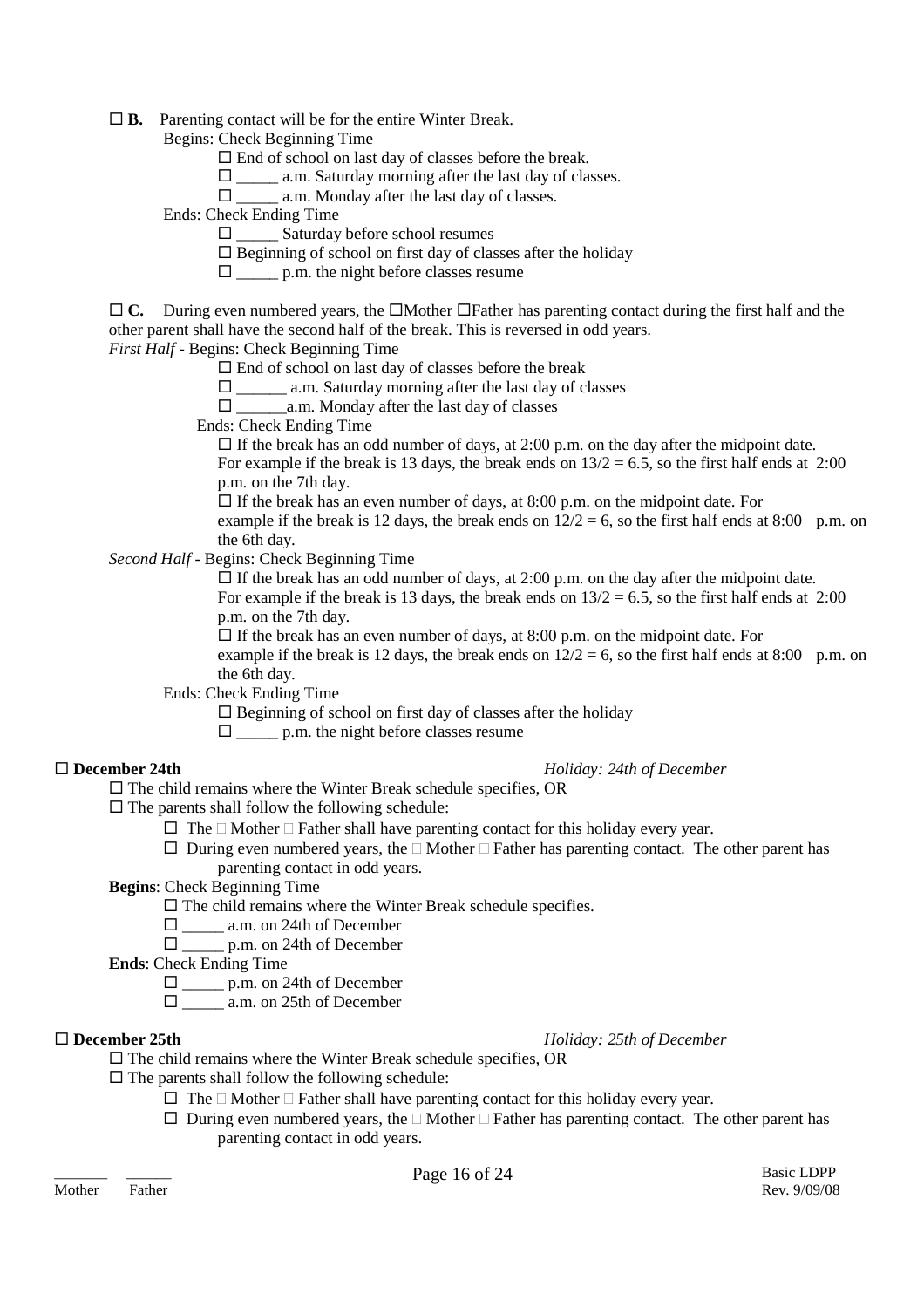**B.** Parenting contact will be for the entire Winter Break.

Begins: Check Beginning Time

- $\Box$  End of school on last day of classes before the break.
- $\Box$  a.m. Saturday morning after the last day of classes.
- $\Box$  a.m. Monday after the last day of classes.

Ends: Check Ending Time

- $\Box$  Saturday before school resumes
- $\square$  Beginning of school on first day of classes after the holiday
- $\Box$  p.m. the night before classes resume
- $\Box$  C. During even numbered years, the  $\Box$ Mother  $\Box$ Father has parenting contact during the first half and the other parent shall have the second half of the break. This is reversed in odd years.

### *First Half* - Begins: Check Beginning Time

- $\square$  End of school on last day of classes before the break
- $\Box$  a.m. Saturday morning after the last day of classes
- $\Box$  a.m. Monday after the last day of classes
- Ends: Check Ending Time

 $\Box$  If the break has an odd number of days, at 2:00 p.m. on the day after the midpoint date. For example if the break is 13 days, the break ends on  $13/2 = 6.5$ , so the first half ends at 2:00

p.m. on the 7th day.

 $\Box$  If the break has an even number of days, at 8:00 p.m. on the midpoint date. For example if the break is 12 days, the break ends on  $12/2 = 6$ , so the first half ends at 8:00 p.m. on the 6th day.

*Second Half* - Begins: Check Beginning Time

 $\Box$  If the break has an odd number of days, at 2:00 p.m. on the day after the midpoint date. For example if the break is 13 days, the break ends on  $13/2 = 6.5$ , so the first half ends at 2:00 p.m. on the 7th day.

 $\Box$  If the break has an even number of days, at 8:00 p.m. on the midpoint date. For example if the break is 12 days, the break ends on  $12/2 = 6$ , so the first half ends at 8:00 p.m. on the 6th day.

Ends: Check Ending Time

 $\square$  Beginning of school on first day of classes after the holiday

 $\Box$  p.m. the night before classes resume

### **December 24th** *Holiday: 24th of December*

 $\Box$  The child remains where the Winter Break schedule specifies, OR

 $\square$  The parents shall follow the following schedule:

- $\Box$  The  $\Box$  Mother  $\Box$  Father shall have parenting contact for this holiday every year.
- $\Box$  During even numbered years, the  $\Box$  Mother  $\Box$  Father has parenting contact. The other parent has parenting contact in odd years.

**Begins**: Check Beginning Time

- $\square$  The child remains where the Winter Break schedule specifies.
- $\square$  \_\_\_\_\_\_ a.m. on 24th of December
- $\Box$  p.m. on 24th of December

**Ends**: Check Ending Time

 $\Box$  p.m. on 24th of December

 $\square$  \_\_\_\_\_\_\_ a.m. on 25th of December

### **December 25th** *Holiday: 25th of December*

 $\Box$  The child remains where the Winter Break schedule specifies, OR

 $\square$  The parents shall follow the following schedule:

- $\Box$  The  $\Box$  Mother  $\Box$  Father shall have parenting contact for this holiday every year.
- $\Box$  During even numbered years, the  $\Box$  Mother  $\Box$  Father has parenting contact. The other parent has parenting contact in odd years.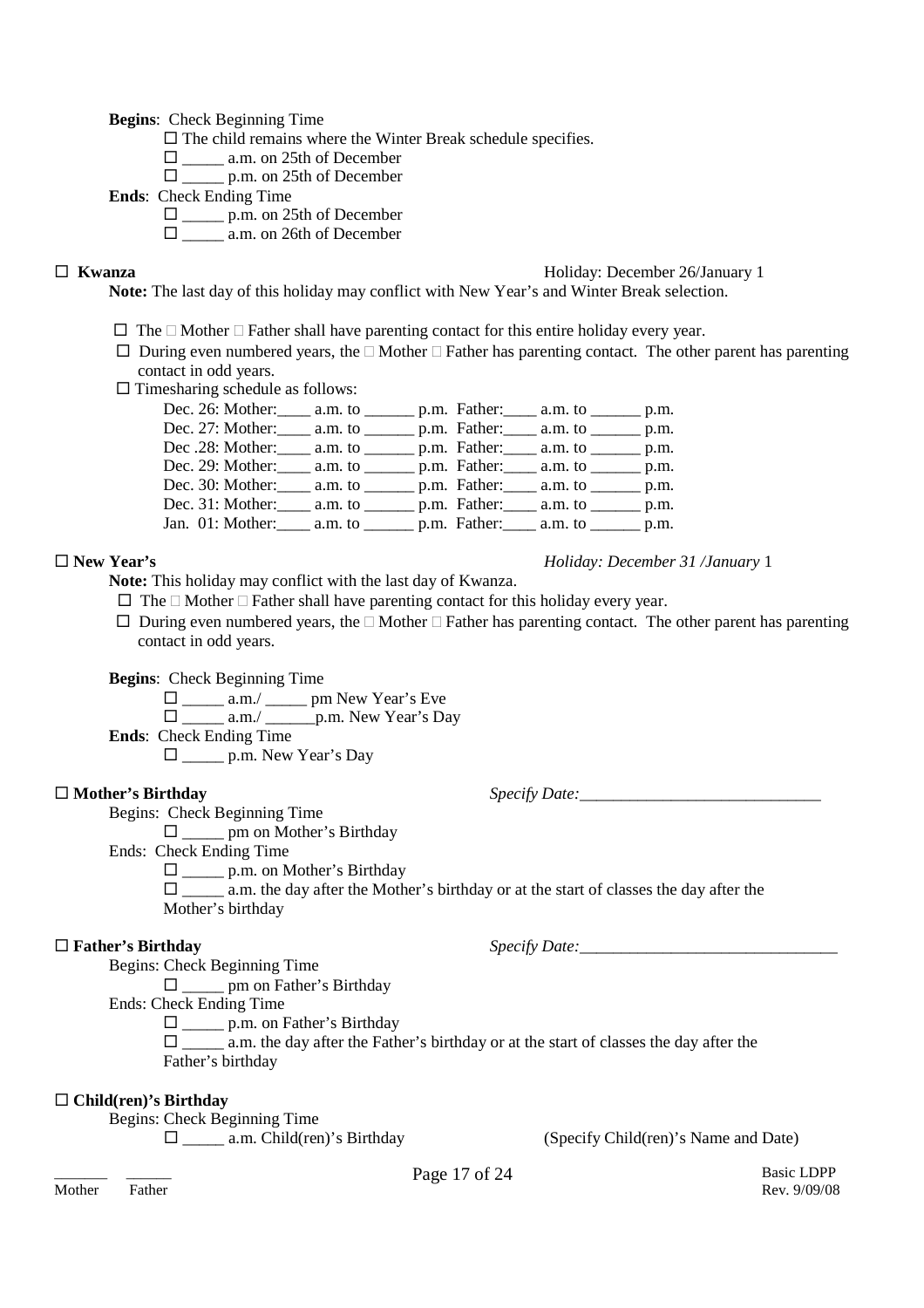**Begins**: Check Beginning Time

 $\Box$  The child remains where the Winter Break schedule specifies.

- $\square$  \_\_\_\_\_\_ a.m. on 25th of December
	- $\Box$  p.m. on 25th of December

**Ends**: Check Ending Time

 $\Box$  p.m. on 25th of December

 $\Box$  a.m. on 26th of December

### **Kwanza** Holiday: December 26/January 1

**Note:** The last day of this holiday may conflict with New Year's and Winter Break selection.

- $\Box$  The  $\Box$  Mother  $\Box$  Father shall have parenting contact for this entire holiday every year.
- $\Box$  During even numbered years, the  $\Box$  Mother  $\Box$  Father has parenting contact. The other parent has parenting contact in odd years.
- $\square$  Timesharing schedule as follows:

| Dec. 26: Mother: _____ a.m. to ________ p.m. Father: _____ a.m. to _______ p.m.    |  |  |  |
|------------------------------------------------------------------------------------|--|--|--|
| Dec. 27: Mother: _____ a.m. to ________ p.m. Father: _____ a.m. to _______ p.m.    |  |  |  |
| Dec.28: Mother: _____ a.m. to ________ p.m. Father: _____ a.m. to _______ p.m.     |  |  |  |
| Dec. 29: Mother: _____ a.m. to ________ p.m. Father: _____ a.m. to _______ p.m.    |  |  |  |
| Dec. 30: Mother: _____ a.m. to ________ p.m. Father: _____ a.m. to _______ p.m.    |  |  |  |
| Dec. 31: Mother: _____ a.m. to ________ p.m. Father: _____ a.m. to _______ p.m.    |  |  |  |
| Jan. 01: Mother: ______ a.m. to _________ p.m. Father: _____ a.m. to ________ p.m. |  |  |  |

**New Year's** *Holiday: December 31 /January* 1

**Note:** This holiday may conflict with the last day of Kwanza.

 $\Box$  The  $\Box$  Mother  $\Box$  Father shall have parenting contact for this holiday every year.

 $\Box$  During even numbered years, the  $\Box$  Mother  $\Box$  Father has parenting contact. The other parent has parenting contact in odd years.

**Begins**: Check Beginning Time

 $\Box$  \_\_\_\_\_ a.m./ \_\_\_\_\_\_ pm New Year's Eve  $\square$  \_\_\_\_\_\_ a.m./ \_\_\_\_\_\_\_ p.m. New Year's Day **Ends**: Check Ending Time \_\_\_\_\_ p.m. New Year's Day

□ Mother's Birthday *Specify Date:* 

Begins: Check Beginning Time \_\_\_\_\_ pm on Mother's Birthday

Ends: Check Ending Time

□ \_\_\_\_\_\_ p.m. on Mother's Birthday

 $\Box$  a.m. the day after the Mother's birthday or at the start of classes the day after the Mother's birthday

### $\Box$  **Father's Birthday** *Specify Date:*

Begins: Check Beginning Time

\_\_\_\_\_ pm on Father's Birthday

Ends: Check Ending Time

 $\Box$  p.m. on Father's Birthday

 $\Box$  a.m. the day after the Father's birthday or at the start of classes the day after the Father's birthday

### **Child(ren)'s Birthday**

Begins: Check Beginning Time

\_\_\_\_\_ a.m. Child(ren)'s Birthday (Specify Child(ren)'s Name and Date)

Mother Father Rev. 9/09/08

\_\_\_\_\_\_\_ \_\_\_\_\_\_ Basic LDPP Page 17 of 24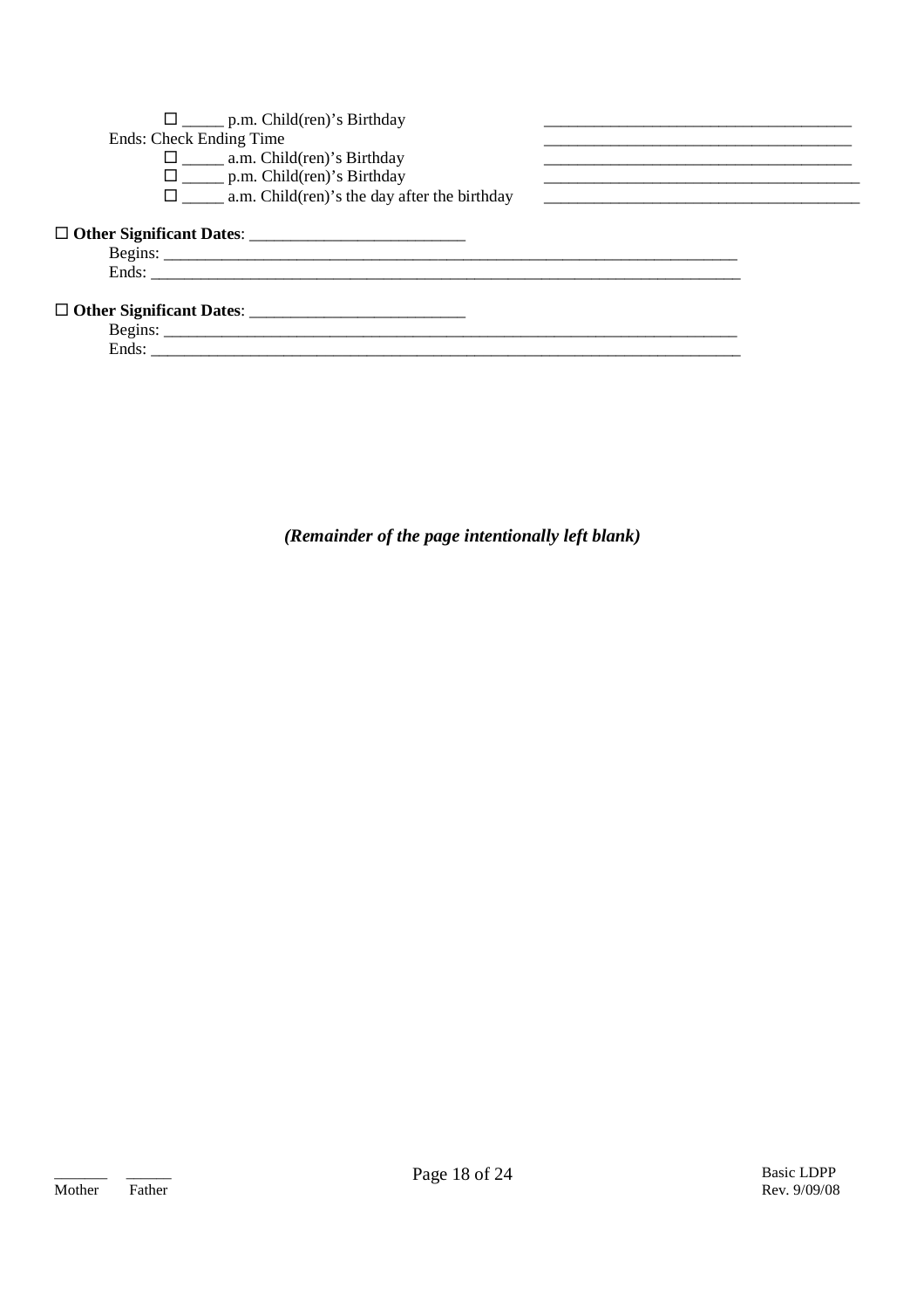| $\square$ p.m. Child(ren)'s Birthday                            |  |
|-----------------------------------------------------------------|--|
| Ends: Check Ending Time                                         |  |
| $\square$ a.m. Child(ren)'s Birthday                            |  |
| $\square$ p.m. Child(ren)'s Birthday                            |  |
| $\square$ ________ a.m. Child(ren)'s the day after the birthday |  |
|                                                                 |  |
|                                                                 |  |
|                                                                 |  |
|                                                                 |  |
|                                                                 |  |
| Ends:                                                           |  |

(Remainder of the page intentionally left blank)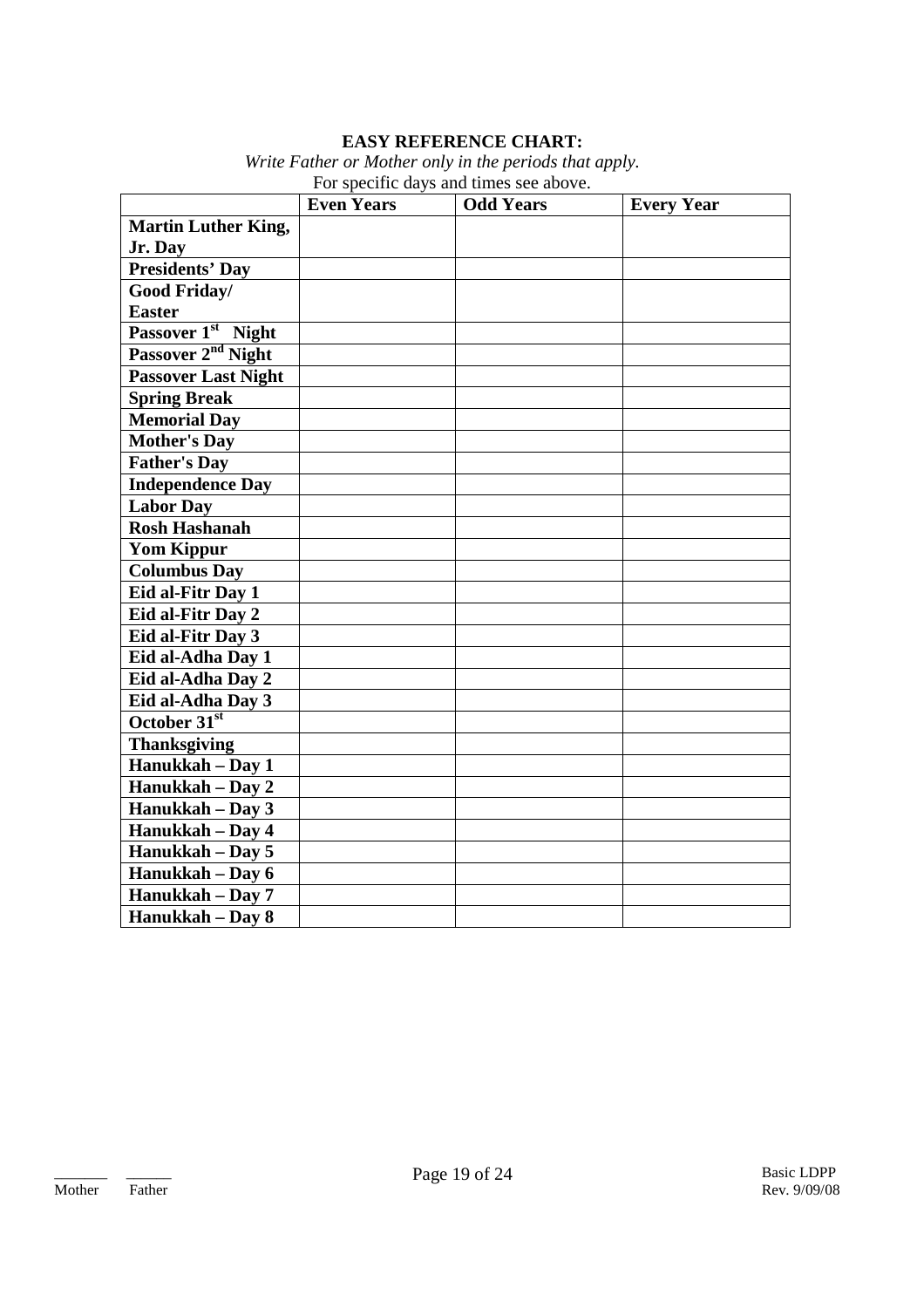### **EASY REFERENCE CHART:**

*Write Father or Mother only in the periods that apply.* For specific days and times see above.

|                                | <b>Even Years</b> | I of specific days and three see above.<br><b>Odd Years</b> | <b>Every Year</b> |
|--------------------------------|-------------------|-------------------------------------------------------------|-------------------|
| <b>Martin Luther King,</b>     |                   |                                                             |                   |
| Jr. Day                        |                   |                                                             |                   |
| <b>Presidents' Day</b>         |                   |                                                             |                   |
| Good Friday/                   |                   |                                                             |                   |
| <b>Easter</b>                  |                   |                                                             |                   |
| Passover 1 <sup>st</sup> Night |                   |                                                             |                   |
| Passover 2 <sup>nd</sup> Night |                   |                                                             |                   |
| <b>Passover Last Night</b>     |                   |                                                             |                   |
| <b>Spring Break</b>            |                   |                                                             |                   |
| <b>Memorial Day</b>            |                   |                                                             |                   |
| <b>Mother's Day</b>            |                   |                                                             |                   |
| <b>Father's Day</b>            |                   |                                                             |                   |
| <b>Independence Day</b>        |                   |                                                             |                   |
| <b>Labor Day</b>               |                   |                                                             |                   |
| <b>Rosh Hashanah</b>           |                   |                                                             |                   |
| <b>Yom Kippur</b>              |                   |                                                             |                   |
| <b>Columbus Day</b>            |                   |                                                             |                   |
| Eid al-Fitr Day 1              |                   |                                                             |                   |
| Eid al-Fitr Day 2              |                   |                                                             |                   |
| Eid al-Fitr Day 3              |                   |                                                             |                   |
| Eid al-Adha Day 1              |                   |                                                             |                   |
| Eid al-Adha Day 2              |                   |                                                             |                   |
| Eid al-Adha Day 3              |                   |                                                             |                   |
| October 31 <sup>st</sup>       |                   |                                                             |                   |
| <b>Thanksgiving</b>            |                   |                                                             |                   |
| Hanukkah - Day 1               |                   |                                                             |                   |
| Hanukkah - Day 2               |                   |                                                             |                   |
| Hanukkah - Day 3               |                   |                                                             |                   |
| Hanukkah - Day 4               |                   |                                                             |                   |
| Hanukkah - Day 5               |                   |                                                             |                   |
| Hanukkah - Day 6               |                   |                                                             |                   |
| Hanukkah - Day 7               |                   |                                                             |                   |
| Hanukkah - Day 8               |                   |                                                             |                   |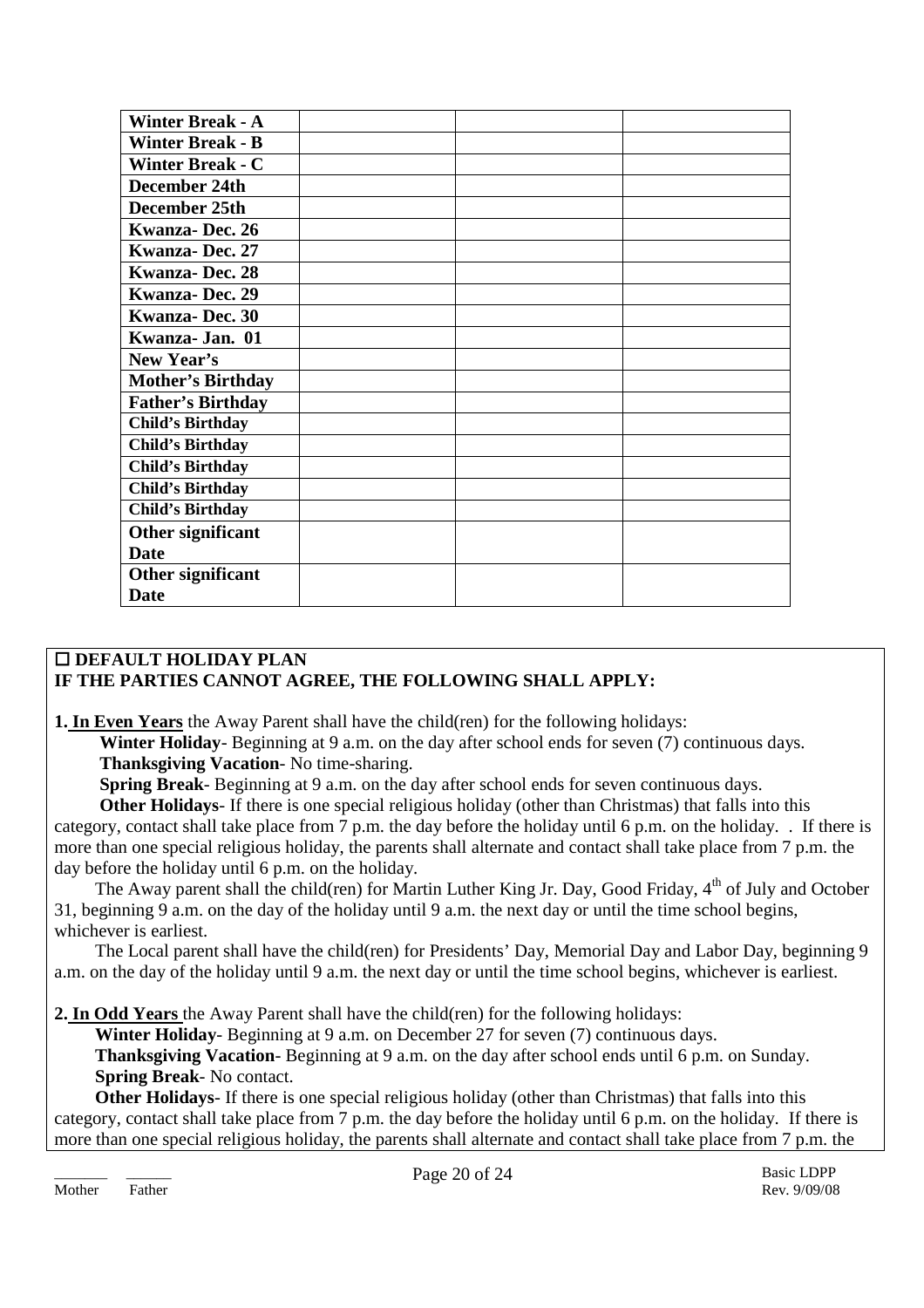| <b>Winter Break - A</b>  |  |  |
|--------------------------|--|--|
| <b>Winter Break - B</b>  |  |  |
| <b>Winter Break - C</b>  |  |  |
| December 24th            |  |  |
| December 25th            |  |  |
| Kwanza-Dec. 26           |  |  |
| <b>Kwanza-Dec. 27</b>    |  |  |
| <b>Kwanza-Dec. 28</b>    |  |  |
| <b>Kwanza-Dec. 29</b>    |  |  |
| <b>Kwanza-Dec. 30</b>    |  |  |
| Kwanza-Jan. 01           |  |  |
| New Year's               |  |  |
| <b>Mother's Birthday</b> |  |  |
| <b>Father's Birthday</b> |  |  |
| <b>Child's Birthday</b>  |  |  |
| <b>Child's Birthday</b>  |  |  |
| <b>Child's Birthday</b>  |  |  |
| <b>Child's Birthday</b>  |  |  |
| <b>Child's Birthday</b>  |  |  |
| Other significant        |  |  |
| <b>Date</b>              |  |  |
| Other significant        |  |  |
| <b>Date</b>              |  |  |

### **DEFAULT HOLIDAY PLAN IF THE PARTIES CANNOT AGREE, THE FOLLOWING SHALL APPLY:**

**1. In Even Years** the Away Parent shall have the child(ren) for the following holidays:

**Winter Holiday**- Beginning at 9 a.m. on the day after school ends for seven (7) continuous days. **Thanksgiving Vacation**- No time-sharing.

**Spring Break**- Beginning at 9 a.m. on the day after school ends for seven continuous days.

**Other Holidays**- If there is one special religious holiday (other than Christmas) that falls into this category, contact shall take place from 7 p.m. the day before the holiday until 6 p.m. on the holiday. . If there is more than one special religious holiday, the parents shall alternate and contact shall take place from 7 p.m. the day before the holiday until 6 p.m. on the holiday.

The Away parent shall the child(ren) for Martin Luther King Jr. Day, Good Friday, 4<sup>th</sup> of July and October 31, beginning 9 a.m. on the day of the holiday until 9 a.m. the next day or until the time school begins, whichever is earliest.

The Local parent shall have the child(ren) for Presidents' Day, Memorial Day and Labor Day, beginning 9 a.m. on the day of the holiday until 9 a.m. the next day or until the time school begins, whichever is earliest.

**2. In Odd Years** the Away Parent shall have the child(ren) for the following holidays:

**Winter Holiday**- Beginning at 9 a.m. on December 27 for seven (7) continuous days. **Thanksgiving Vacation**- Beginning at 9 a.m. on the day after school ends until 6 p.m. on Sunday. **Spring Break**- No contact.

**Other Holidays**- If there is one special religious holiday (other than Christmas) that falls into this category, contact shall take place from 7 p.m. the day before the holiday until 6 p.m. on the holiday. If there is more than one special religious holiday, the parents shall alternate and contact shall take place from 7 p.m. the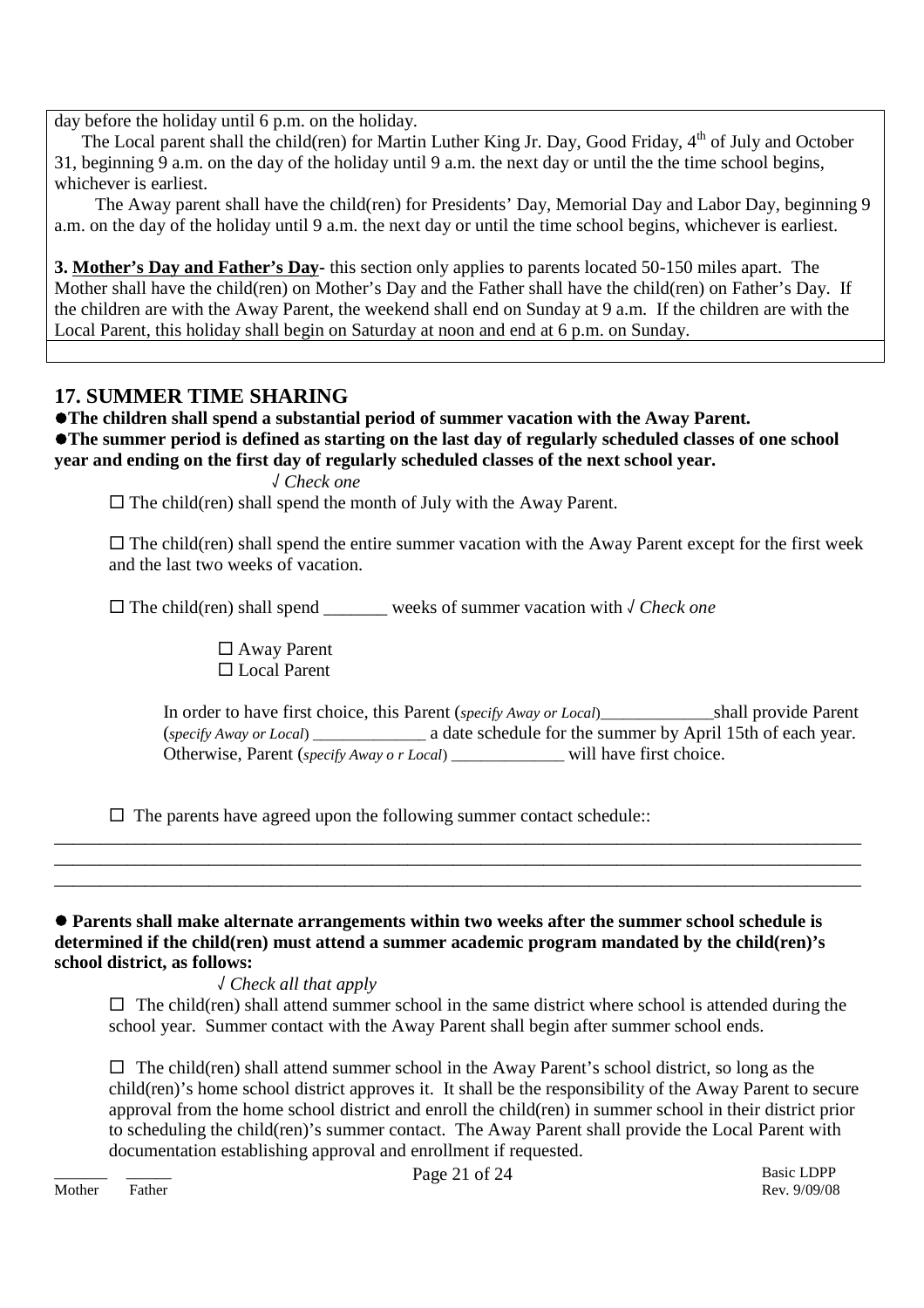day before the holiday until 6 p.m. on the holiday.

The Local parent shall the child(ren) for Martin Luther King Jr. Day, Good Friday, 4<sup>th</sup> of July and October 31, beginning 9 a.m. on the day of the holiday until 9 a.m. the next day or until the the time school begins, whichever is earliest.

The Away parent shall have the child(ren) for Presidents' Day, Memorial Day and Labor Day, beginning 9 a.m. on the day of the holiday until 9 a.m. the next day or until the time school begins, whichever is earliest.

**3. Mother's Day and Father's Day-** this section only applies to parents located 50-150 miles apart. The Mother shall have the child(ren) on Mother's Day and the Father shall have the child(ren) on Father's Day. If the children are with the Away Parent, the weekend shall end on Sunday at 9 a.m. If the children are with the Local Parent, this holiday shall begin on Saturday at noon and end at 6 p.m. on Sunday.

# **17. SUMMER TIME SHARING**

**The children shall spend a substantial period of summer vacation with the Away Parent. The summer period is defined as starting on the last day of regularly scheduled classes of one school year and ending on the first day of regularly scheduled classes of the next school year.**

√ *Check one*

 $\Box$  The child(ren) shall spend the month of July with the Away Parent.

 $\Box$  The child(ren) shall spend the entire summer vacation with the Away Parent except for the first week and the last two weeks of vacation.

The child(ren) shall spend \_\_\_\_\_\_\_ weeks of summer vacation with √ *Check one*

 Away Parent □ Local Parent

In order to have first choice, this Parent (*specify Away or Local*)\_\_\_\_\_\_\_\_\_\_\_\_\_\_\_shall provide Parent (*specify Away or Local*) \_\_\_\_\_\_\_\_\_\_\_\_\_\_\_ a date schedule for the summer by April 15th of each year. Otherwise, Parent (*specify Away o r Local*) will have first choice.

 $\Box$  The parents have agreed upon the following summer contact schedule::

 **Parents shall make alternate arrangements within two weeks after the summer school schedule is determined if the child(ren) must attend a summer academic program mandated by the child(ren)'s school district, as follows:**

\_\_\_\_\_\_\_\_\_\_\_\_\_\_\_\_\_\_\_\_\_\_\_\_\_\_\_\_\_\_\_\_\_\_\_\_\_\_\_\_\_\_\_\_\_\_\_\_\_\_\_\_\_\_\_\_\_\_\_\_\_\_\_\_\_\_\_\_\_\_\_\_\_\_\_\_\_\_\_\_\_\_\_\_\_\_\_\_\_ \_\_\_\_\_\_\_\_\_\_\_\_\_\_\_\_\_\_\_\_\_\_\_\_\_\_\_\_\_\_\_\_\_\_\_\_\_\_\_\_\_\_\_\_\_\_\_\_\_\_\_\_\_\_\_\_\_\_\_\_\_\_\_\_\_\_\_\_\_\_\_\_\_\_\_\_\_\_\_\_\_\_\_\_\_\_\_\_\_ \_\_\_\_\_\_\_\_\_\_\_\_\_\_\_\_\_\_\_\_\_\_\_\_\_\_\_\_\_\_\_\_\_\_\_\_\_\_\_\_\_\_\_\_\_\_\_\_\_\_\_\_\_\_\_\_\_\_\_\_\_\_\_\_\_\_\_\_\_\_\_\_\_\_\_\_\_\_\_\_\_\_\_\_\_\_\_\_\_

### √ *Check all that apply*

 $\Box$  The child(ren) shall attend summer school in the same district where school is attended during the school year. Summer contact with the Away Parent shall begin after summer school ends.

 $\Box$  The child(ren) shall attend summer school in the Away Parent's school district, so long as the child(ren)'s home school district approves it. It shall be the responsibility of the Away Parent to secure approval from the home school district and enroll the child(ren) in summer school in their district prior to scheduling the child(ren)'s summer contact. The Away Parent shall provide the Local Parent with documentation establishing approval and enrollment if requested.

Mother Father Rev. 9/09/08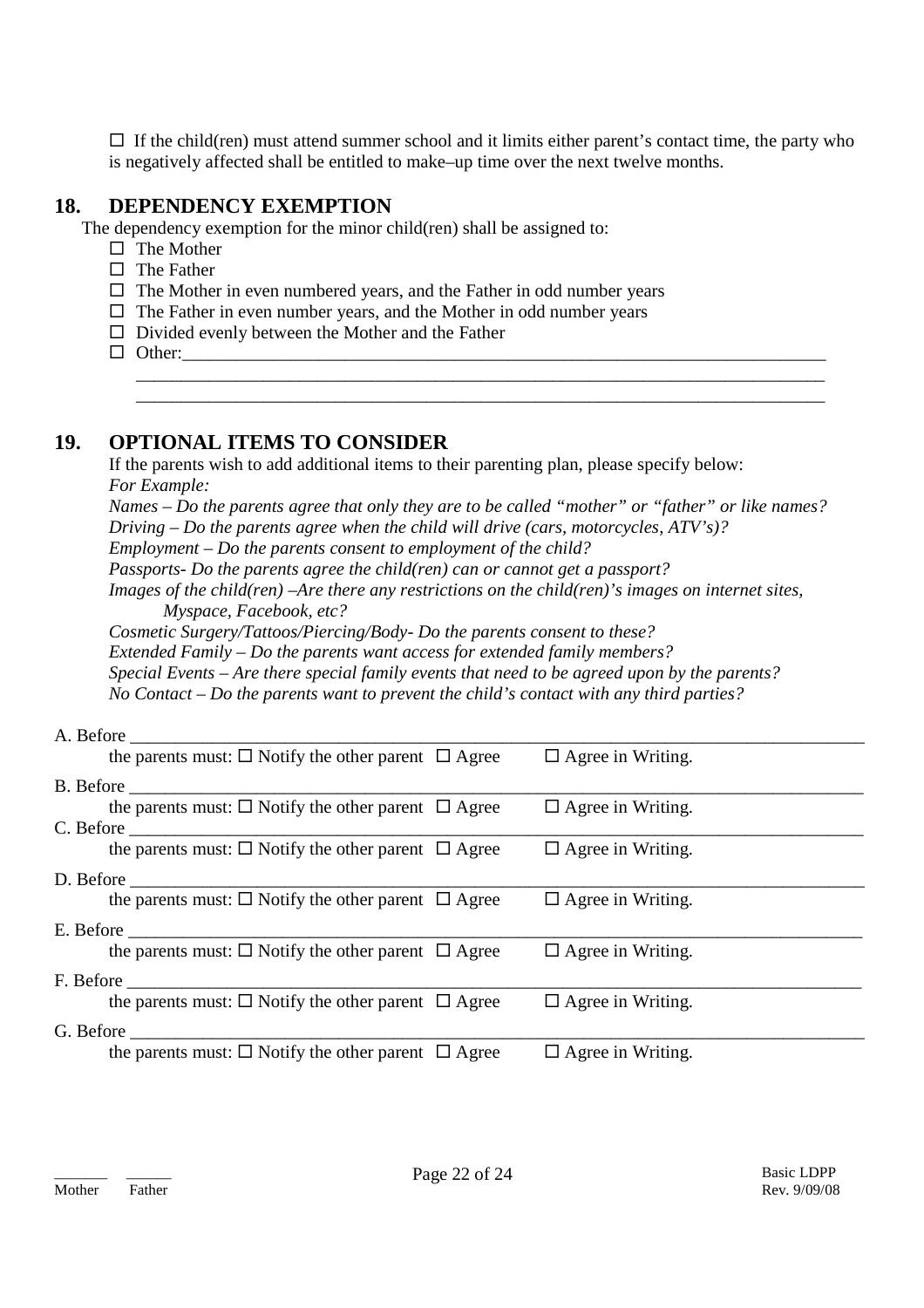$\Box$  If the child(ren) must attend summer school and it limits either parent's contact time, the party who is negatively affected shall be entitled to make–up time over the next twelve months.

# **18. DEPENDENCY EXEMPTION**

The dependency exemption for the minor child(ren) shall be assigned to:

- $\Box$  The Mother
- $\Pi$  The Father
- $\Box$  The Mother in even numbered years, and the Father in odd number years
- $\Box$  The Father in even number years, and the Mother in odd number years
- $\Box$  Divided evenly between the Mother and the Father
- $\Box$  Other:

### **19. OPTIONAL ITEMS TO CONSIDER**

If the parents wish to add additional items to their parenting plan, please specify below: *For Example:*

*Names – Do the parents agree that only they are to be called "mother" or "father" or like names? Driving – Do the parents agree when the child will drive (cars, motorcycles, ATV's)?*

\_\_\_\_\_\_\_\_\_\_\_\_\_\_\_\_\_\_\_\_\_\_\_\_\_\_\_\_\_\_\_\_\_\_\_\_\_\_\_\_\_\_\_\_\_\_\_\_\_\_\_\_\_\_\_\_\_\_\_\_\_\_\_\_\_\_\_\_\_\_\_\_\_\_\_\_ \_\_\_\_\_\_\_\_\_\_\_\_\_\_\_\_\_\_\_\_\_\_\_\_\_\_\_\_\_\_\_\_\_\_\_\_\_\_\_\_\_\_\_\_\_\_\_\_\_\_\_\_\_\_\_\_\_\_\_\_\_\_\_\_\_\_\_\_\_\_\_\_\_\_\_\_

*Employment – Do the parents consent to employment of the child?*

*Passports- Do the parents agree the child(ren) can or cannot get a passport?*

*Images of the child(ren) –Are there any restrictions on the child(ren)'s images on internet sites, Myspace, Facebook, etc?*

*Cosmetic Surgery/Tattoos/Piercing/Body- Do the parents consent to these?*

*Extended Family – Do the parents want access for extended family members?*

*Special Events – Are there special family events that need to be agreed upon by the parents?*

*No Contact – Do the parents want to prevent the child's contact with any third parties?*

# A. Before \_\_\_\_\_\_\_\_\_\_\_\_\_\_\_\_\_\_\_\_\_\_\_\_\_\_\_\_\_\_\_\_\_\_\_\_\_\_\_\_\_\_\_\_\_\_\_\_\_\_\_\_\_\_\_\_\_\_\_\_\_\_\_\_\_\_\_\_\_\_\_\_\_\_\_\_\_\_\_\_\_ the parents must:  $\Box$  Notify the other parent  $\Box$  Agree  $\Box$  Agree in Writing. B. Before \_\_\_\_\_\_\_\_\_\_\_\_\_\_\_\_\_\_\_\_\_\_\_\_\_\_\_\_\_\_\_\_\_\_\_\_\_\_\_\_\_\_\_\_\_\_\_\_\_\_\_\_\_\_\_\_\_\_\_\_\_\_\_\_\_\_\_\_\_\_\_\_\_\_\_\_\_\_\_\_\_ the parents must:  $\Box$  Notify the other parent  $\Box$  Agree  $\Box$  Agree in Writing. C. Before \_\_\_\_\_\_\_\_\_\_\_\_\_\_\_\_\_\_\_\_\_\_\_\_\_\_\_\_\_\_\_\_\_\_\_\_\_\_\_\_\_\_\_\_\_\_\_\_\_\_\_\_\_\_\_\_\_\_\_\_\_\_\_\_\_\_\_\_\_\_\_\_\_\_\_\_\_\_\_\_\_ the parents must:  $\Box$  Notify the other parent  $\Box$  Agree  $\Box$  Agree in Writing. D. Before \_\_\_\_\_\_\_\_\_\_\_\_\_\_\_\_\_\_\_\_\_\_\_\_\_\_\_\_\_\_\_\_\_\_\_\_\_\_\_\_\_\_\_\_\_\_\_\_\_\_\_\_\_\_\_\_\_\_\_\_\_\_\_\_\_\_\_\_\_\_\_\_\_\_\_\_\_\_\_\_\_ the parents must:  $\Box$  Notify the other parent  $\Box$  Agree  $\Box$  Agree in Writing. E. Before \_\_\_\_\_\_\_\_\_\_\_\_\_\_\_\_\_\_\_\_\_\_\_\_\_\_\_\_\_\_\_\_\_\_\_\_\_\_\_\_\_\_\_\_\_\_\_\_\_\_\_\_\_\_\_\_\_\_\_\_\_\_\_\_\_\_\_\_\_\_\_\_\_\_\_\_\_\_\_\_\_ the parents must:  $\Box$  Notify the other parent  $\Box$  Agree  $\Box$  Agree in Writing. F. Before \_\_\_\_\_\_\_\_\_\_\_\_\_\_\_\_\_\_\_\_\_\_\_\_\_\_\_\_\_\_\_\_\_\_\_\_\_\_\_\_\_\_\_\_\_\_\_\_\_\_\_\_\_\_\_\_\_\_\_\_\_\_\_\_\_\_\_\_\_\_\_\_\_\_\_\_\_\_\_\_\_ the parents must:  $\Box$  Notify the other parent  $\Box$  Agree  $\Box$  Agree in Writing. G. Before \_\_\_\_\_\_\_\_\_\_\_\_\_\_\_\_\_\_\_\_\_\_\_\_\_\_\_\_\_\_\_\_\_\_\_\_\_\_\_\_\_\_\_\_\_\_\_\_\_\_\_\_\_\_\_\_\_\_\_\_\_\_\_\_\_\_\_\_\_\_\_\_\_\_\_\_\_\_\_\_\_ the parents must:  $\Box$  Notify the other parent  $\Box$  Agree  $\Box$  Agree in Writing.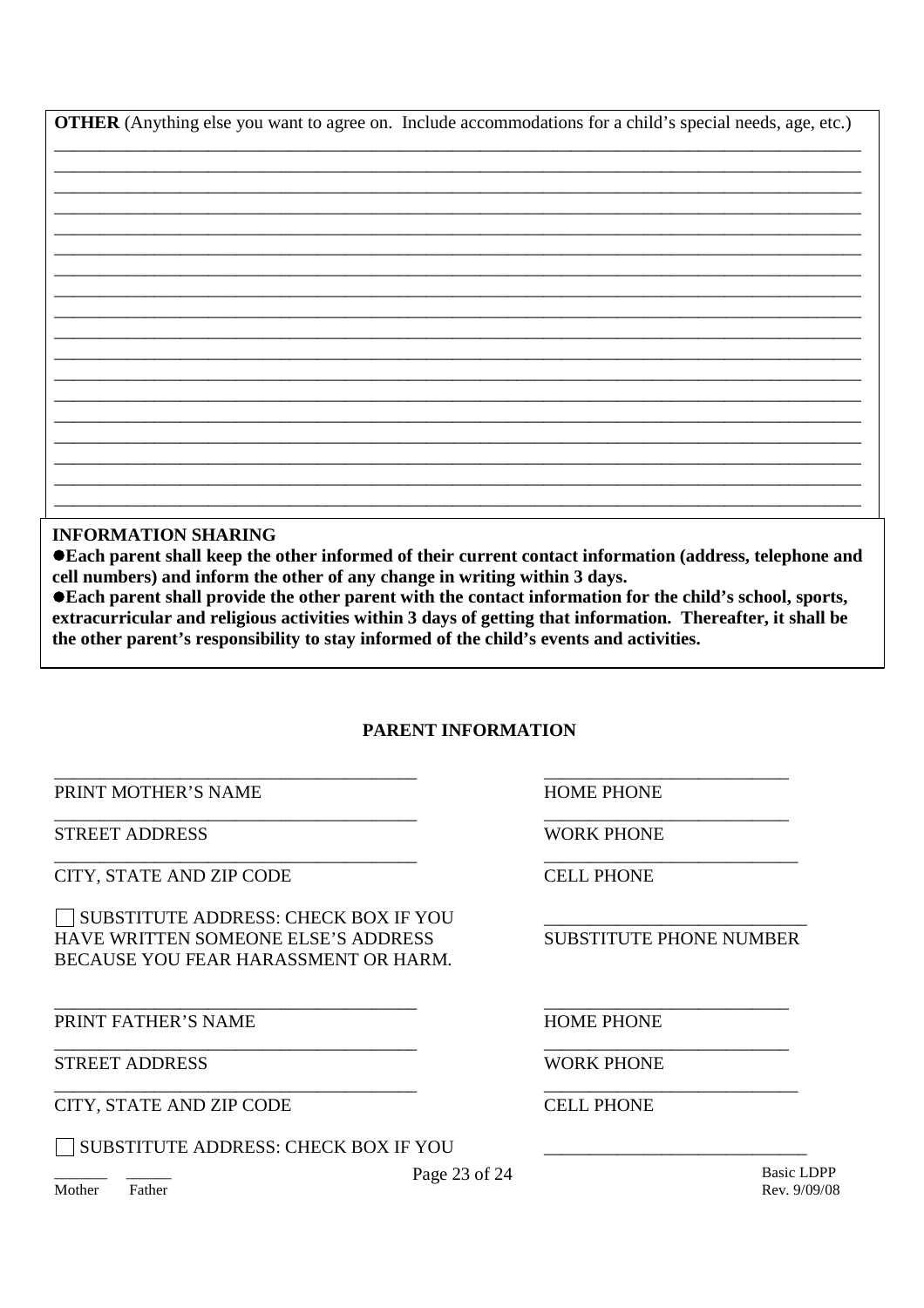**OTHER** (Anything else you want to agree on. Include accommodations for a child's special needs, age, etc.)

**INFORMATION SHARING** 

● Each parent shall keep the other informed of their current contact information (address, telephone and cell numbers) and inform the other of any change in writing within 3 days.

●Each parent shall provide the other parent with the contact information for the child's school, sports, extracurricular and religious activities within 3 days of getting that information. Thereafter, it shall be the other parent's responsibility to stay informed of the child's events and activities.

### **PARENT INFORMATION**

PRINT MOTHER'S NAME

STREET ADDRESS

CITY, STATE AND ZIP CODE

SUBSTITUTE ADDRESS: CHECK BOX IF YOU HAVE WRITTEN SOMEONE ELSE'S ADDRESS BECAUSE YOU FEAR HARASSMENT OR HARM.

PRINT FATHER'S NAME

**STREET ADDRESS** 

CITY, STATE AND ZIP CODE

SUBSTITUTE ADDRESS: CHECK BOX IF YOU

**HOME PHONE** 

WORK PHONE

CELL PHONE

**SUBSTITUTE PHONE NUMBER** 

**HOME PHONE** 

**WORK PHONE** 

**CELL PHONE** 

Mother Father **Basic LDPP** Rev. 9/09/08

Page 23 of 24